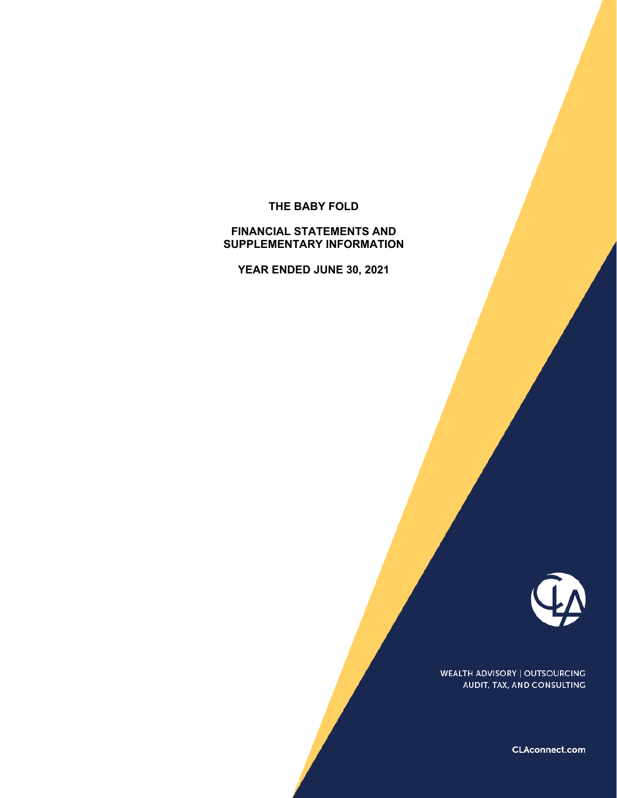# **THE BABY FOLD**

# **FINANCIAL STATEMENTS AND SUPPLEMENTARY INFORMATION**

**YEAR ENDED JUNE 30, 2021**



WEALTH ADVISORY | OUTSOURCING AUDIT, TAX, AND CONSULTING

CLAconnect.com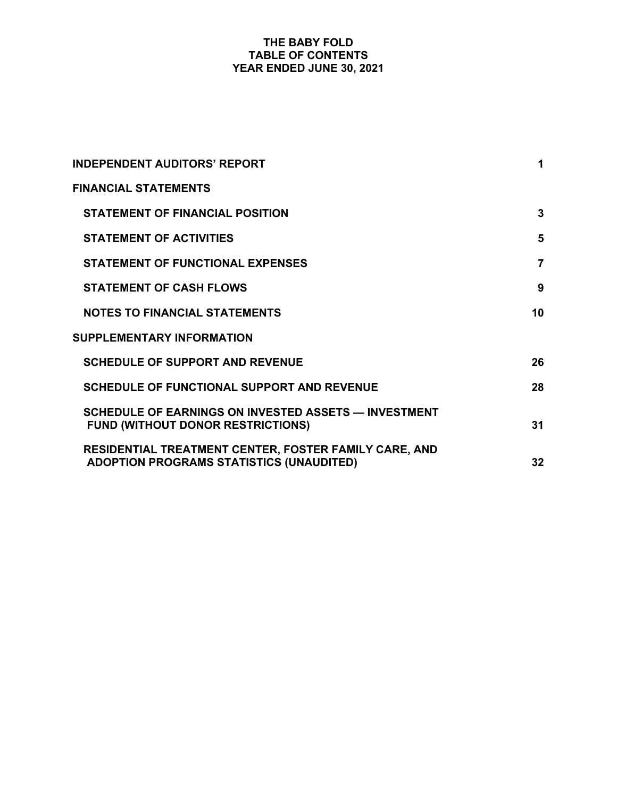# **THE BABY FOLD TABLE OF CONTENTS YEAR ENDED JUNE 30, 2021**

| <b>INDEPENDENT AUDITORS' REPORT</b>                                                                      |    |
|----------------------------------------------------------------------------------------------------------|----|
| <b>FINANCIAL STATEMENTS</b>                                                                              |    |
| <b>STATEMENT OF FINANCIAL POSITION</b>                                                                   | 3  |
| <b>STATEMENT OF ACTIVITIES</b>                                                                           | 5  |
| <b>STATEMENT OF FUNCTIONAL EXPENSES</b>                                                                  | 7  |
| <b>STATEMENT OF CASH FLOWS</b>                                                                           | 9  |
| <b>NOTES TO FINANCIAL STATEMENTS</b>                                                                     | 10 |
| <b>SUPPLEMENTARY INFORMATION</b>                                                                         |    |
| <b>SCHEDULE OF SUPPORT AND REVENUE</b>                                                                   | 26 |
| <b>SCHEDULE OF FUNCTIONAL SUPPORT AND REVENUE</b>                                                        | 28 |
| <b>SCHEDULE OF EARNINGS ON INVESTED ASSETS - INVESTMENT</b><br><b>FUND (WITHOUT DONOR RESTRICTIONS)</b>  | 31 |
| RESIDENTIAL TREATMENT CENTER, FOSTER FAMILY CARE, AND<br><b>ADOPTION PROGRAMS STATISTICS (UNAUDITED)</b> | 32 |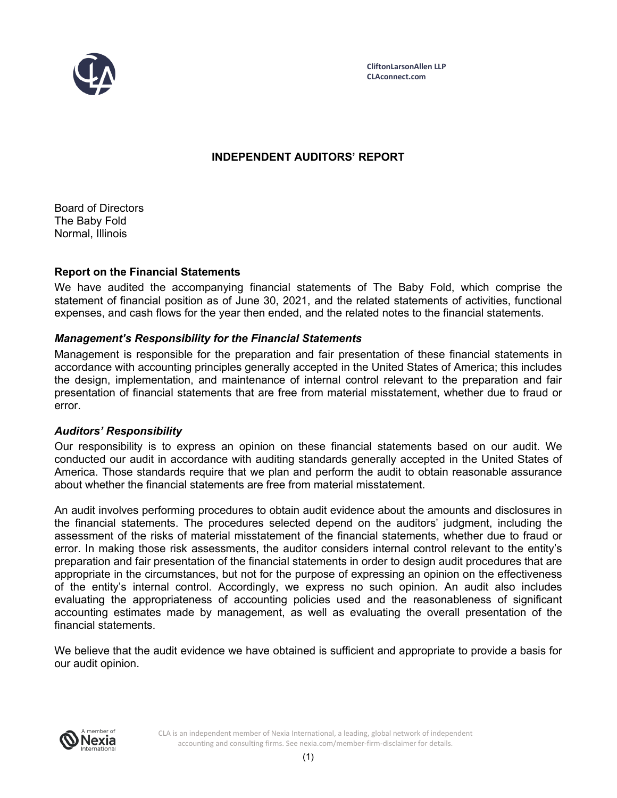

**CliftonLarsonAllen LLP CLAconnect.com**

# **INDEPENDENT AUDITORS' REPORT**

Board of Directors The Baby Fold Normal, Illinois

# **Report on the Financial Statements**

We have audited the accompanying financial statements of The Baby Fold, which comprise the statement of financial position as of June 30, 2021, and the related statements of activities, functional expenses, and cash flows for the year then ended, and the related notes to the financial statements.

# *Management's Responsibility for the Financial Statements*

Management is responsible for the preparation and fair presentation of these financial statements in accordance with accounting principles generally accepted in the United States of America; this includes the design, implementation, and maintenance of internal control relevant to the preparation and fair presentation of financial statements that are free from material misstatement, whether due to fraud or error.

### *Auditors' Responsibility*

Our responsibility is to express an opinion on these financial statements based on our audit. We conducted our audit in accordance with auditing standards generally accepted in the United States of America. Those standards require that we plan and perform the audit to obtain reasonable assurance about whether the financial statements are free from material misstatement.

An audit involves performing procedures to obtain audit evidence about the amounts and disclosures in the financial statements. The procedures selected depend on the auditors' judgment, including the assessment of the risks of material misstatement of the financial statements, whether due to fraud or error. In making those risk assessments, the auditor considers internal control relevant to the entity's preparation and fair presentation of the financial statements in order to design audit procedures that are appropriate in the circumstances, but not for the purpose of expressing an opinion on the effectiveness of the entity's internal control. Accordingly, we express no such opinion. An audit also includes evaluating the appropriateness of accounting policies used and the reasonableness of significant accounting estimates made by management, as well as evaluating the overall presentation of the financial statements.

We believe that the audit evidence we have obtained is sufficient and appropriate to provide a basis for our audit opinion.

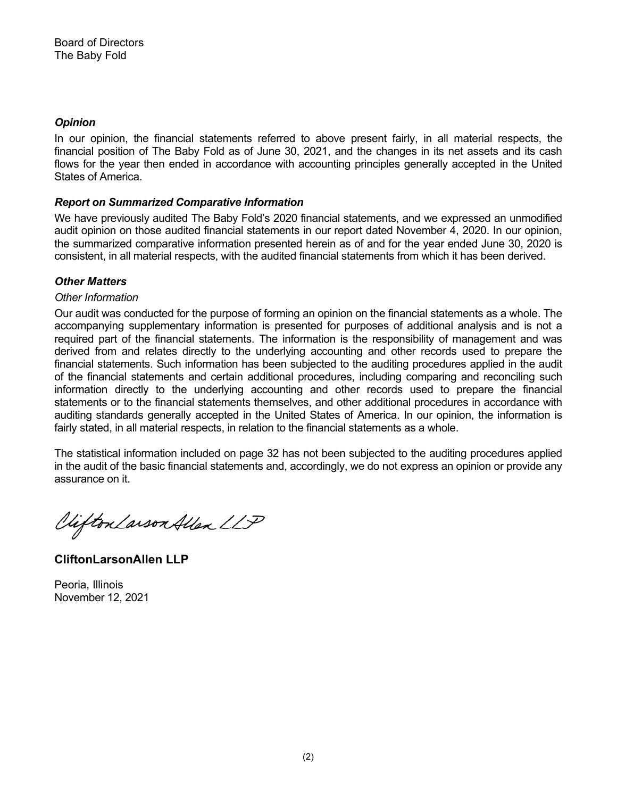# *Opinion*

In our opinion, the financial statements referred to above present fairly, in all material respects, the financial position of The Baby Fold as of June 30, 2021, and the changes in its net assets and its cash flows for the year then ended in accordance with accounting principles generally accepted in the United States of America.

# *Report on Summarized Comparative Information*

We have previously audited The Baby Fold's 2020 financial statements, and we expressed an unmodified audit opinion on those audited financial statements in our report dated November 4, 2020. In our opinion, the summarized comparative information presented herein as of and for the year ended June 30, 2020 is consistent, in all material respects, with the audited financial statements from which it has been derived.

# *Other Matters*

### *Other Information*

Our audit was conducted for the purpose of forming an opinion on the financial statements as a whole. The accompanying supplementary information is presented for purposes of additional analysis and is not a required part of the financial statements. The information is the responsibility of management and was derived from and relates directly to the underlying accounting and other records used to prepare the financial statements. Such information has been subjected to the auditing procedures applied in the audit of the financial statements and certain additional procedures, including comparing and reconciling such information directly to the underlying accounting and other records used to prepare the financial statements or to the financial statements themselves, and other additional procedures in accordance with auditing standards generally accepted in the United States of America. In our opinion, the information is fairly stated, in all material respects, in relation to the financial statements as a whole.

The statistical information included on page 32 has not been subjected to the auditing procedures applied in the audit of the basic financial statements and, accordingly, we do not express an opinion or provide any assurance on it.

Viifton Larson Allen LLP

**CliftonLarsonAllen LLP**

Peoria, Illinois November 12, 2021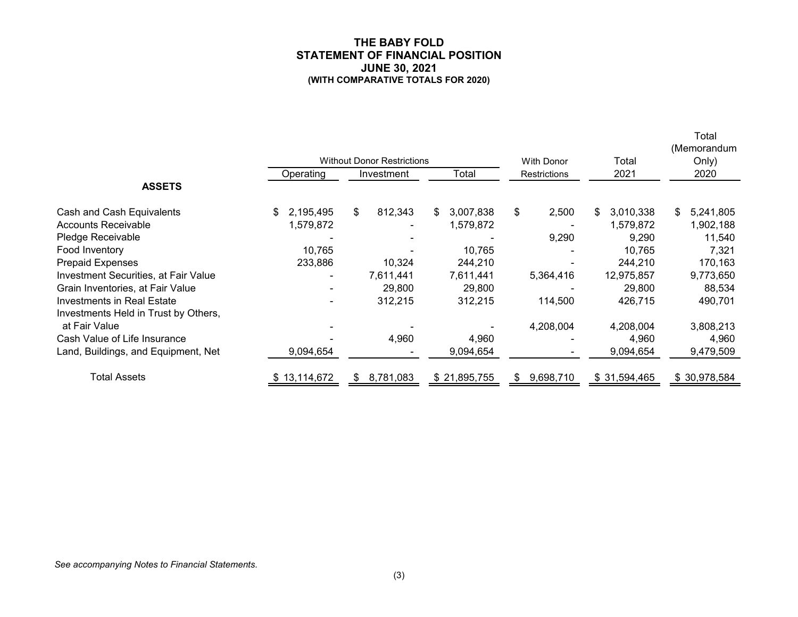# **THE BABY FOLD STATEMENT OF FINANCIAL POSITION JUNE 30, 2021 (WITH COMPARATIVE TOTALS FOR 2020)**

Total

|                                             |              | <b>Without Donor Restrictions</b> |                  | <b>With Donor</b>   | Total           | (Memorandum<br>Only) |
|---------------------------------------------|--------------|-----------------------------------|------------------|---------------------|-----------------|----------------------|
|                                             | Operating    | Investment                        | Total            | <b>Restrictions</b> | 2021            | 2020                 |
| <b>ASSETS</b>                               |              |                                   |                  |                     |                 |                      |
| Cash and Cash Equivalents                   | 2,195,495    | 812,343<br>\$.                    | 3,007,838<br>\$. | \$<br>2,500         | 3,010,338<br>S. | 5,241,805<br>SS.     |
| <b>Accounts Receivable</b>                  | 1,579,872    |                                   | 1,579,872        |                     | 1,579,872       | 1,902,188            |
| Pledge Receivable                           |              |                                   |                  | 9,290               | 9,290           | 11,540               |
| Food Inventory                              | 10,765       |                                   | 10,765           |                     | 10,765          | 7,321                |
| <b>Prepaid Expenses</b>                     | 233,886      | 10,324                            | 244,210          |                     | 244,210         | 170,163              |
| <b>Investment Securities, at Fair Value</b> |              | 7,611,441                         | 7,611,441        | 5,364,416           | 12,975,857      | 9,773,650            |
| Grain Inventories, at Fair Value            |              | 29,800                            | 29,800           |                     | 29,800          | 88,534               |
| Investments in Real Estate                  |              | 312,215                           | 312,215          | 114,500             | 426,715         | 490,701              |
| Investments Held in Trust by Others,        |              |                                   |                  |                     |                 |                      |
| at Fair Value                               |              |                                   |                  | 4,208,004           | 4,208,004       | 3,808,213            |
| Cash Value of Life Insurance                |              | 4,960                             | 4,960            |                     | 4,960           | 4,960                |
| Land, Buildings, and Equipment, Net         | 9,094,654    |                                   | 9,094,654        |                     | 9,094,654       | 9,479,509            |
| Total Assets                                | \$13,114,672 | 8,781,083<br>SS.                  | \$21,895,755     | 9,698,710<br>\$.    | \$31,594,465    | \$30,978,584         |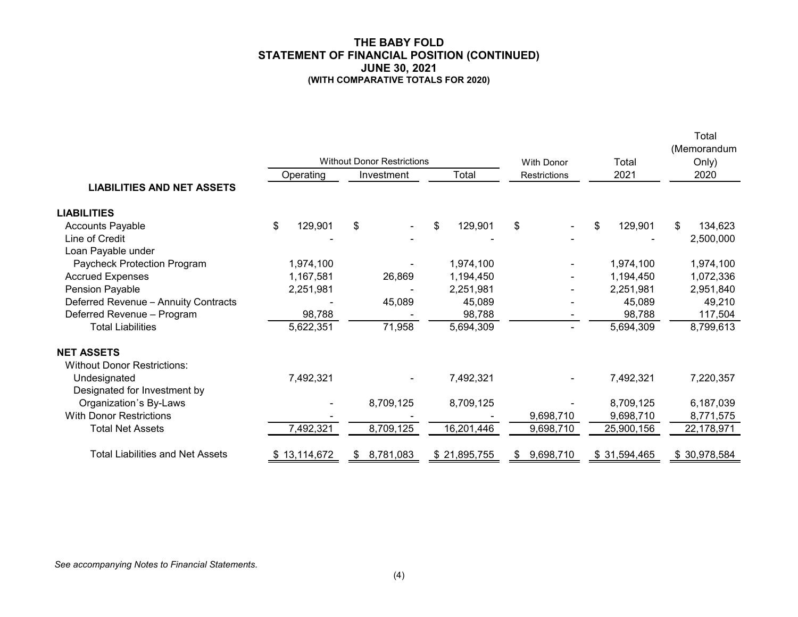# **THE BABY FOLD STATEMENT OF FINANCIAL POSITION (CONTINUED) JUNE 30, 2021 (WITH COMPARATIVE TOTALS FOR 2020)**

Total

|                                         |    |              |                | <b>Without Donor Restrictions</b> |       |              | <b>With Donor</b> |                |    | Total        | (Memorandum<br>Only) |              |  |
|-----------------------------------------|----|--------------|----------------|-----------------------------------|-------|--------------|-------------------|----------------|----|--------------|----------------------|--------------|--|
|                                         |    | Operating    |                | Investment                        | Total |              | Restrictions      |                |    | 2021         | 2020                 |              |  |
| <b>LIABILITIES AND NET ASSETS</b>       |    |              |                |                                   |       |              |                   |                |    |              |                      |              |  |
| <b>LIABILITIES</b>                      |    |              |                |                                   |       |              |                   |                |    |              |                      |              |  |
| <b>Accounts Payable</b>                 | \$ | 129,901      | $\mathfrak{S}$ |                                   | \$    | 129,901      | \$                |                | \$ | 129,901      | \$                   | 134,623      |  |
| Line of Credit                          |    |              |                |                                   |       |              |                   |                |    |              |                      | 2,500,000    |  |
| Loan Payable under                      |    |              |                |                                   |       |              |                   |                |    |              |                      |              |  |
| Paycheck Protection Program             |    | 1,974,100    |                |                                   |       | 1,974,100    |                   |                |    | 1,974,100    |                      | 1,974,100    |  |
| <b>Accrued Expenses</b>                 |    | 1,167,581    |                | 26,869                            |       | 1,194,450    |                   |                |    | 1,194,450    |                      | 1,072,336    |  |
| Pension Payable                         |    | 2,251,981    |                |                                   |       | 2,251,981    |                   |                |    | 2,251,981    |                      | 2,951,840    |  |
| Deferred Revenue - Annuity Contracts    |    |              |                | 45,089                            |       | 45,089       |                   |                |    | 45,089       |                      | 49,210       |  |
| Deferred Revenue - Program              |    | 98,788       |                |                                   |       | 98,788       |                   |                |    | 98,788       |                      | 117,504      |  |
| <b>Total Liabilities</b>                |    | 5,622,351    |                | 71,958                            |       | 5,694,309    |                   | $\blacksquare$ |    | 5,694,309    |                      | 8,799,613    |  |
| <b>NET ASSETS</b>                       |    |              |                |                                   |       |              |                   |                |    |              |                      |              |  |
| <b>Without Donor Restrictions:</b>      |    |              |                |                                   |       |              |                   |                |    |              |                      |              |  |
| Undesignated                            |    | 7,492,321    |                |                                   |       | 7,492,321    |                   | $\blacksquare$ |    | 7,492,321    |                      | 7,220,357    |  |
| Designated for Investment by            |    |              |                |                                   |       |              |                   |                |    |              |                      |              |  |
| Organization's By-Laws                  |    |              |                | 8,709,125                         |       | 8,709,125    |                   |                |    | 8,709,125    |                      | 6,187,039    |  |
| <b>With Donor Restrictions</b>          |    |              |                |                                   |       |              |                   | 9,698,710      |    | 9,698,710    |                      | 8,771,575    |  |
| <b>Total Net Assets</b>                 |    | 7,492,321    |                | 8,709,125                         |       | 16,201,446   |                   | 9,698,710      |    | 25,900,156   |                      | 22,178,971   |  |
| <b>Total Liabilities and Net Assets</b> |    | \$13,114,672 | $\sqrt{3}$     | 8,781,083                         |       | \$21,895,755 | \$                | 9,698,710      |    | \$31,594,465 |                      | \$30,978,584 |  |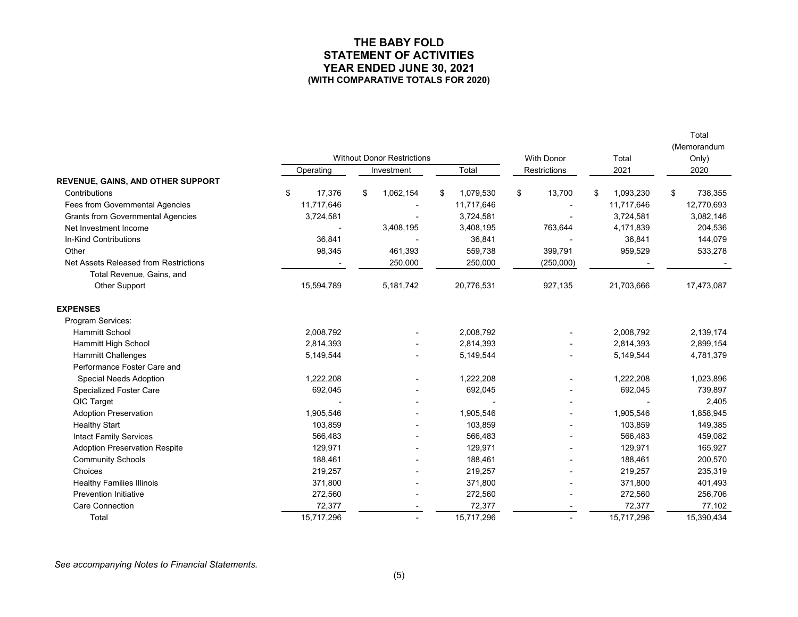#### **THE BABY FOLD STATEMENT OF ACTIVITIES YEAR ENDED JUNE 30, 2021 (WITH COMPARATIVE TOTALS FOR 2020)**

Total

|                                          |              |    |                                   |     |            |    |                   |      |            |      | (Memorandum |
|------------------------------------------|--------------|----|-----------------------------------|-----|------------|----|-------------------|------|------------|------|-------------|
|                                          |              |    | <b>Without Donor Restrictions</b> |     |            |    | <b>With Donor</b> |      | Total      |      | Only)       |
|                                          | Operating    |    | Investment                        |     | Total      |    | Restrictions      | 2021 |            | 2020 |             |
| <b>REVENUE, GAINS, AND OTHER SUPPORT</b> |              |    |                                   |     |            |    |                   |      |            |      |             |
| Contributions                            | \$<br>17,376 | \$ | 1,062,154                         | \$. | 1,079,530  | \$ | 13,700            | \$   | 1,093,230  | \$   | 738,355     |
| Fees from Governmental Agencies          | 11,717,646   |    |                                   |     | 11,717,646 |    |                   |      | 11,717,646 |      | 12,770,693  |
| <b>Grants from Governmental Agencies</b> | 3,724,581    |    |                                   |     | 3,724,581  |    |                   |      | 3,724,581  |      | 3,082,146   |
| Net Investment Income                    |              |    | 3,408,195                         |     | 3,408,195  |    | 763,644           |      | 4,171,839  |      | 204,536     |
| In-Kind Contributions                    | 36,841       |    |                                   |     | 36,841     |    |                   |      | 36,841     |      | 144,079     |
| Other                                    | 98,345       |    | 461,393                           |     | 559,738    |    | 399,791           |      | 959,529    |      | 533,278     |
| Net Assets Released from Restrictions    |              |    | 250,000                           |     | 250,000    |    | (250,000)         |      |            |      |             |
| Total Revenue, Gains, and                |              |    |                                   |     |            |    |                   |      |            |      |             |
| Other Support                            | 15,594,789   |    | 5,181,742                         |     | 20,776,531 |    | 927,135           |      | 21,703,666 |      | 17,473,087  |
| <b>EXPENSES</b>                          |              |    |                                   |     |            |    |                   |      |            |      |             |
| Program Services:                        |              |    |                                   |     |            |    |                   |      |            |      |             |
| <b>Hammitt School</b>                    | 2,008,792    |    |                                   |     | 2,008,792  |    |                   |      | 2,008,792  |      | 2,139,174   |
| Hammitt High School                      | 2,814,393    |    |                                   |     | 2,814,393  |    |                   |      | 2,814,393  |      | 2,899,154   |
| <b>Hammitt Challenges</b>                | 5,149,544    |    |                                   |     | 5,149,544  |    |                   |      | 5,149,544  |      | 4,781,379   |
| Performance Foster Care and              |              |    |                                   |     |            |    |                   |      |            |      |             |
| <b>Special Needs Adoption</b>            | 1,222,208    |    |                                   |     | 1,222,208  |    |                   |      | 1,222,208  |      | 1,023,896   |
| <b>Specialized Foster Care</b>           | 692,045      |    |                                   |     | 692,045    |    |                   |      | 692,045    |      | 739,897     |
| QIC Target                               |              |    |                                   |     |            |    |                   |      |            |      | 2,405       |
| <b>Adoption Preservation</b>             | 1,905,546    |    |                                   |     | 1,905,546  |    |                   |      | 1,905,546  |      | 1,858,945   |
| <b>Healthy Start</b>                     | 103,859      |    |                                   |     | 103,859    |    |                   |      | 103,859    |      | 149,385     |
| <b>Intact Family Services</b>            | 566,483      |    |                                   |     | 566,483    |    |                   |      | 566,483    |      | 459,082     |
| <b>Adoption Preservation Respite</b>     | 129,971      |    |                                   |     | 129,971    |    |                   |      | 129,971    |      | 165,927     |
| <b>Community Schools</b>                 | 188.461      |    |                                   |     | 188,461    |    |                   |      | 188.461    |      | 200,570     |
| Choices                                  | 219,257      |    |                                   |     | 219,257    |    |                   |      | 219,257    |      | 235,319     |
| <b>Healthy Families Illinois</b>         | 371,800      |    |                                   |     | 371,800    |    |                   |      | 371,800    |      | 401,493     |
| <b>Prevention Initiative</b>             | 272,560      |    |                                   |     | 272,560    |    |                   |      | 272,560    |      | 256,706     |
| <b>Care Connection</b>                   | 72,377       |    |                                   |     | 72,377     |    |                   |      | 72,377     |      | 77,102      |
| Total                                    | 15,717,296   |    |                                   |     | 15,717,296 |    |                   |      | 15,717,296 |      | 15,390,434  |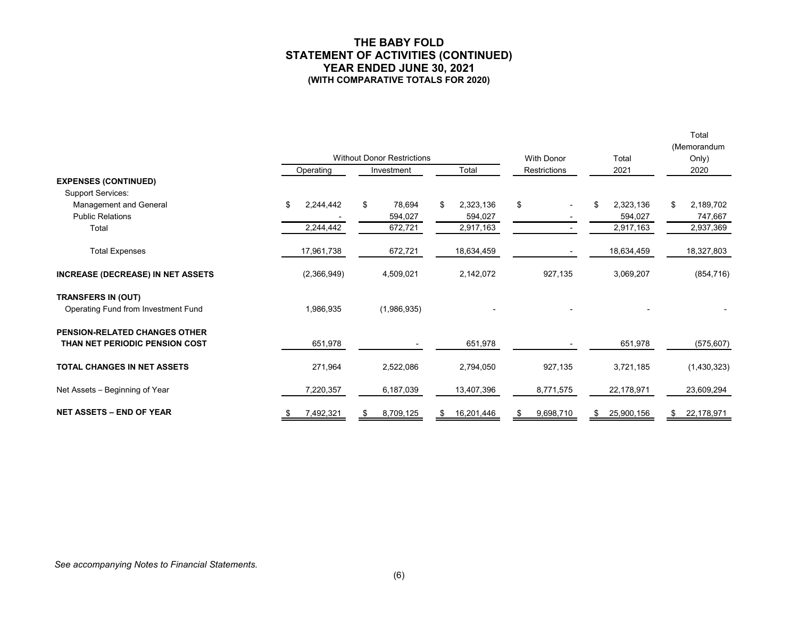### **THE BABY FOLD STATEMENT OF ACTIVITIES (CONTINUED) YEAR ENDED JUNE 30, 2021 (WITH COMPARATIVE TOTALS FOR 2020)**

Total

|                                                                                   |                 | <b>Without Donor Restrictions</b> |            | <b>With Donor</b> | Total      | (Memorandum<br>Only) |  |
|-----------------------------------------------------------------------------------|-----------------|-----------------------------------|------------|-------------------|------------|----------------------|--|
|                                                                                   | Operating       | Investment                        | Total      | Restrictions      | 2021       | 2020                 |  |
| <b>EXPENSES (CONTINUED)</b><br><b>Support Services:</b><br>Management and General | 2,244,442<br>\$ | \$<br>78,694                      | 2,323,136  | \$                | 2,323,136  | \$<br>2,189,702      |  |
| <b>Public Relations</b>                                                           |                 | 594,027                           | 594,027    |                   | 594,027    | 747,667              |  |
| Total                                                                             | 2,244,442       | 672,721                           | 2,917,163  |                   | 2,917,163  | 2,937,369            |  |
| <b>Total Expenses</b>                                                             | 17,961,738      | 672,721                           | 18,634,459 |                   | 18,634,459 | 18,327,803           |  |
| <b>INCREASE (DECREASE) IN NET ASSETS</b>                                          | (2,366,949)     | 4,509,021                         | 2,142,072  | 927,135           | 3,069,207  | (854, 716)           |  |
| <b>TRANSFERS IN (OUT)</b><br>Operating Fund from Investment Fund                  | 1,986,935       | (1,986,935)                       |            |                   |            |                      |  |
| <b>PENSION-RELATED CHANGES OTHER</b><br>THAN NET PERIODIC PENSION COST            | 651,978         |                                   | 651,978    |                   | 651,978    | (575, 607)           |  |
| TOTAL CHANGES IN NET ASSETS                                                       | 271,964         | 2,522,086                         | 2,794,050  | 927,135           | 3,721,185  | (1,430,323)          |  |
| Net Assets - Beginning of Year                                                    | 7,220,357       | 6,187,039                         | 13,407,396 | 8,771,575         | 22,178,971 | 23,609,294           |  |
| <b>NET ASSETS - END OF YEAR</b>                                                   | 7,492,321       | 8,709,125                         | 16,201,446 | 9,698,710         | 25,900,156 | 22,178,971           |  |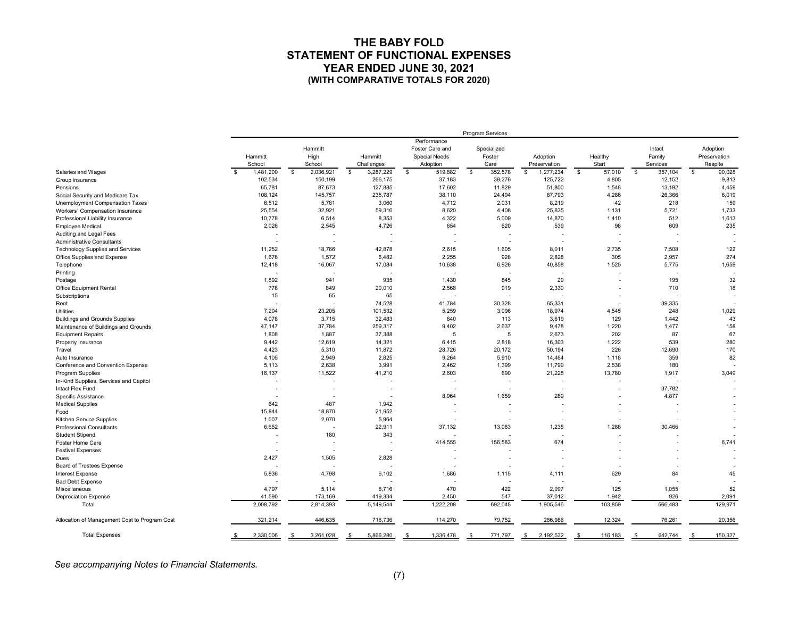### **THE BABY FOLD STATEMENT OF FUNCTIONAL EXPENSES YEAR ENDED JUNE 30, 2021 (WITH COMPARATIVE TOTALS FOR 2020)**

|                                                             |                |                |                         |                          |    |                 |                         |                                |                         | <b>Program Services</b> |              |                          |            |         |                         |          |                         |                          |
|-------------------------------------------------------------|----------------|----------------|-------------------------|--------------------------|----|-----------------|-------------------------|--------------------------------|-------------------------|-------------------------|--------------|--------------------------|------------|---------|-------------------------|----------|-------------------------|--------------------------|
|                                                             |                |                |                         | Hammitt                  |    |                 |                         | Performance<br>Foster Care and |                         | Specialized             |              |                          |            |         |                         | Intact   |                         | Adoption                 |
|                                                             |                | Hammitt        |                         | High                     |    | Hammitt         |                         | <b>Special Needs</b>           |                         | Foster                  |              | Adoption                 |            | Healthy |                         | Family   |                         | Preservation             |
|                                                             |                | School         |                         | School                   |    | Challenges      |                         | Adoption                       |                         | Care                    |              | Preservation             |            | Start   |                         | Services |                         | Respite                  |
| Salaries and Wages                                          | $\mathfrak{s}$ | 1,481,200      | $\overline{\mathbf{s}}$ | 2,036,921                | \$ | 3,287,229       | $\overline{\mathbf{s}}$ | 519,682                        | $\overline{\mathbf{s}}$ | 352,578                 | $\mathbf{s}$ | 1,277,234                | $\sqrt{3}$ | 57,010  | $\overline{\mathbf{s}}$ | 357,104  | $\overline{\mathbf{s}}$ | 90,028                   |
| Group insurance                                             |                | 102,534        |                         | 150,199                  |    | 266,175         |                         | 37,183                         |                         | 39,276                  |              | 125,722                  |            | 4,805   |                         | 12,152   |                         | 9,813                    |
| Pensions                                                    |                | 65,781         |                         | 87,673                   |    | 127,885         |                         | 17,602                         |                         | 11,829                  |              | 51,800                   |            | 1,548   |                         | 13,192   |                         | 4,459                    |
| Social Security and Medicare Tax                            |                | 108,124        |                         | 145,757                  |    | 235,787         |                         | 38,110                         |                         | 24,494                  |              | 87,793                   |            | 4,286   |                         | 26,366   |                         | 6,019                    |
| Unemployment Compensation Taxes                             |                | 6,512          |                         | 5,781                    |    | 3,060           |                         | 4,712                          |                         | 2,031                   |              | 8,219                    |            | 42      |                         | 218      |                         | 159                      |
| Workers' Compensation Insurance                             |                | 25,554         |                         | 32,921                   |    | 59,316          |                         | 8,620                          |                         | 4.408                   |              | 25,835                   |            | 1,131   |                         | 5,721    |                         | 1,733                    |
| Professional Liability Insurance                            |                | 10,778         |                         | 6,514                    |    | 8,353           |                         | 4,322                          |                         | 5,009                   |              | 14,870                   |            | 1,410   |                         | 512      |                         | 1,613                    |
| <b>Employee Medical</b>                                     |                | 2,026          |                         | 2,545                    |    | 4,726           |                         | 654                            |                         | 620                     |              | 539                      |            | 98      |                         | 609      |                         | 235                      |
| Auditing and Legal Fees                                     |                |                |                         |                          |    |                 |                         |                                |                         |                         |              |                          |            |         |                         |          |                         |                          |
| <b>Administrative Consultants</b>                           |                |                |                         | $\overline{\phantom{a}}$ |    |                 |                         | $\overline{\phantom{a}}$       |                         | ٠                       |              | ٠.                       |            |         |                         |          |                         |                          |
| <b>Technology Supplies and Services</b>                     |                | 11,252         |                         | 18,766                   |    | 42,878          |                         | 2,615                          |                         | 1,605                   |              | 8,011                    |            | 2,735   |                         | 7,508    |                         | 122                      |
| Office Supplies and Expense                                 |                | 1,676          |                         | 1,572                    |    | 6,482           |                         | 2,255                          |                         | 928                     |              | 2,828                    |            | 305     |                         | 2,957    |                         | 274                      |
| Telephone                                                   |                | 12,418         |                         | 16,067                   |    | 17,084          |                         | 10,638                         |                         | 6,926                   |              | 40,858                   |            | 1,525   |                         | 5,775    |                         | 1,659                    |
| Printing                                                    |                |                |                         |                          |    |                 |                         |                                |                         |                         |              |                          |            |         |                         |          |                         |                          |
| Postage                                                     |                | 1,892          |                         | 941                      |    | 935             |                         | 1,430                          |                         | 845                     |              | 29                       |            |         |                         | 195      |                         | 32                       |
| <b>Office Equipment Rental</b>                              |                | 778            |                         | 849                      |    | 20,010          |                         | 2,568                          |                         | 919                     |              | 2,330                    |            |         |                         | 710      |                         | 18                       |
| Subscriptions                                               |                | 15             |                         | 65                       |    | 65              |                         |                                |                         |                         |              |                          |            |         |                         |          |                         |                          |
| Rent                                                        |                |                |                         |                          |    | 74,528          |                         | 41,784                         |                         | 30,328                  |              | 65,331                   |            |         |                         | 39,335   |                         |                          |
| Utilities                                                   |                | 7,204          |                         | 23,205                   |    | 101,532         |                         | 5,259                          |                         | 3,096                   |              | 18,974                   |            | 4,545   |                         | 248      |                         | 1,029                    |
| <b>Buildings and Grounds Supplies</b>                       |                | 4,078          |                         | 3,715                    |    | 32,483          |                         | 640                            |                         | 113                     |              | 3,619                    |            | 129     |                         | 1,442    |                         | 43                       |
| Maintenance of Buildings and Grounds                        |                | 47,147         |                         | 37,784                   |    | 259,317         |                         | 9,402                          |                         | 2,637                   |              | 9,478                    |            | 1,220   |                         | 1,477    |                         | 158                      |
| <b>Equipment Repairs</b>                                    |                | 1,808          |                         | 1,887                    |    | 37,388          |                         | 5                              |                         | 5                       |              | 2,673                    |            | 202     |                         | 87       |                         | 67                       |
| Property Insurance                                          |                | 9,442          |                         | 12,619                   |    | 14,321          |                         | 6,415                          |                         | 2,818                   |              | 16,303                   |            | 1,222   |                         | 539      |                         | 280                      |
| Travel                                                      |                | 4,423          |                         | 5,310                    |    | 11,872          |                         | 28,726                         |                         | 20,172                  |              | 50,194                   |            | 226     |                         | 12,690   |                         | 170                      |
| Auto Insurance                                              |                | 4,105          |                         | 2,949                    |    | 2,825           |                         | 9,264                          |                         | 5,910                   |              | 14,464                   |            | 1,118   |                         | 359      |                         | 82                       |
| Conference and Convention Expense                           |                | 5,113          |                         | 2,638                    |    | 3,991           |                         | 2,462                          |                         | 1,399                   |              | 11,799                   |            | 2,538   |                         | 180      |                         |                          |
| Program Supplies                                            |                | 16,137         |                         | 11,522                   |    | 41,210          |                         | 2,603                          |                         | 690                     |              | 21,225                   |            | 13,780  |                         | 1,917    |                         | 3,049                    |
| In-Kind Supplies, Services and Capitol                      |                |                |                         |                          |    |                 |                         |                                |                         |                         |              |                          |            |         |                         |          |                         |                          |
| Intact Flex Fund                                            |                |                |                         | $\overline{\phantom{a}}$ |    |                 |                         | ÷                              |                         | ÷,                      |              | $\overline{\phantom{a}}$ |            |         |                         | 37,782   |                         | $\overline{\phantom{a}}$ |
| Specific Assistance                                         |                |                |                         |                          |    |                 |                         | 8,964                          |                         | 1,659                   |              | 289                      |            |         |                         | 4,877    |                         |                          |
| <b>Medical Supplies</b>                                     |                | 642            |                         | 487                      |    | 1,942           |                         |                                |                         |                         |              |                          |            |         |                         |          |                         |                          |
| Food                                                        |                | 15,844         |                         | 18,870<br>2,070          |    | 21,952          |                         |                                |                         |                         |              | ٠.                       |            |         |                         |          |                         |                          |
| Kitchen Service Supplies<br><b>Professional Consultants</b> |                | 1,007<br>6,652 |                         |                          |    | 5,964<br>22,911 |                         | 37,132                         |                         | 13,083                  |              | 1,235                    |            | 1,288   |                         | 30,466   |                         |                          |
|                                                             |                |                |                         | 180                      |    | 343             |                         |                                |                         |                         |              |                          |            |         |                         |          |                         |                          |
| <b>Student Stipend</b><br>Foster Home Care                  |                |                |                         |                          |    |                 |                         | 414,555                        |                         | 156,583                 |              | 674                      |            |         |                         |          |                         | 6,741                    |
| <b>Festival Expenses</b>                                    |                |                |                         |                          |    |                 |                         |                                |                         |                         |              |                          |            |         |                         |          |                         |                          |
| Dues                                                        |                | 2,427          |                         | 1,505                    |    | 2,828           |                         |                                |                         |                         |              |                          |            |         |                         |          |                         |                          |
| Board of Trustees Expense                                   |                |                |                         |                          |    |                 |                         |                                |                         |                         |              |                          |            |         |                         |          |                         |                          |
| <b>Interest Expense</b>                                     |                | 5,836          |                         | 4,798                    |    | 6,102           |                         | 1,686                          |                         | 1,115                   |              | 4,111                    |            | 629     |                         | 84       |                         | 45                       |
| <b>Bad Debt Expense</b>                                     |                |                |                         |                          |    |                 |                         |                                |                         |                         |              |                          |            |         |                         |          |                         |                          |
| Miscellaneous                                               |                | 4,797          |                         | 5,114                    |    | 8,716           |                         | 470                            |                         | 422                     |              | 2,097                    |            | 125     |                         | 1,055    |                         | 52                       |
| <b>Depreciation Expense</b>                                 |                | 41,590         |                         | 173,169                  |    | 419,334         |                         | 2,450                          |                         | 547                     |              | 37,012                   |            | 1,942   |                         | 926      |                         | 2,091                    |
| Total                                                       |                | 2,008,792      |                         | 2,814,393                |    | 5,149,544       |                         | 1,222,208                      |                         | 692,045                 |              | 1,905,546                |            | 103,859 |                         | 566,483  |                         | 129,971                  |
|                                                             |                |                |                         |                          |    |                 |                         |                                |                         |                         |              |                          |            |         |                         |          |                         |                          |
| Allocation of Management Cost to Program Cost               |                | 321,214        |                         | 446,635                  |    | 716,736         |                         | 114,270                        |                         | 79,752                  |              | 286,986                  |            | 12,324  |                         | 76,261   |                         | 20,356                   |
| <b>Total Expenses</b>                                       | -\$            | 2,330,006      | \$                      | 3,261,028                | -9 | 5,866,280       |                         | 1,336,478                      | -9                      | 771.797                 | -9           | 2,192,532                | -9         | 116,183 | s                       | 642,744  | -9                      | 150,327                  |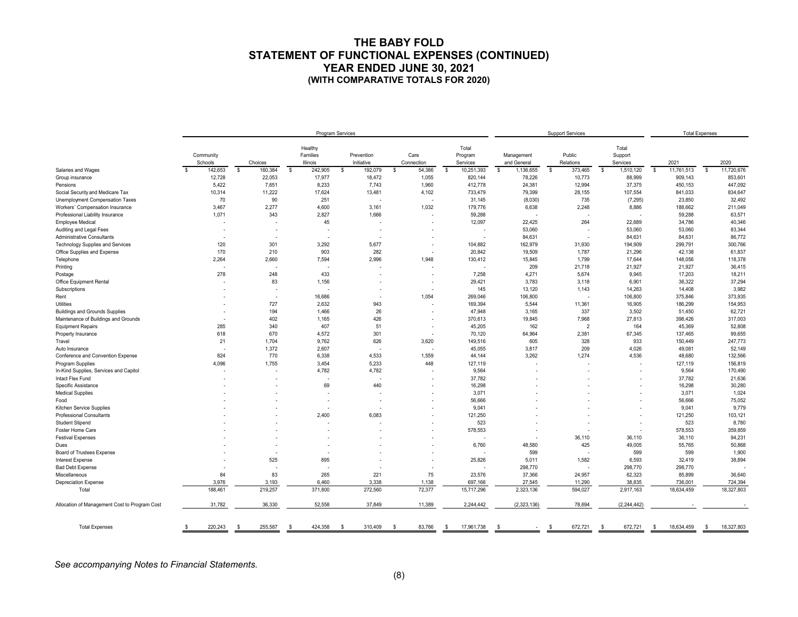### **THE BABY FOLD STATEMENT OF FUNCTIONAL EXPENSES (CONTINUED) YEAR ENDED JUNE 30, 2021 (WITH COMPARATIVE TOTALS FOR 2020)**

|                                               |                      |                       |                                 | <b>Program Services</b>  |                    |                              | <b>Support Services</b>   |                                    | <b>Total Expenses</b>        |                   |                    |
|-----------------------------------------------|----------------------|-----------------------|---------------------------------|--------------------------|--------------------|------------------------------|---------------------------|------------------------------------|------------------------------|-------------------|--------------------|
|                                               | Community<br>Schools | Choices               | Healthy<br>Families<br>Illinois | Prevention<br>Initiative | Care<br>Connection | Total<br>Program<br>Services | Management<br>and General | Public<br>Relations                | Total<br>Support<br>Services | 2021              | 2020               |
| Salaries and Wages                            | S.<br>142,653        | $\sqrt{3}$<br>160,384 | S.<br>242,905                   | 192,079<br>\$            | 54,386<br>-S       | s<br>10,251,393              | \$<br>1,136,655           | $\overline{\mathbf{s}}$<br>373,465 | $\mathbb{S}$<br>1,510,120    | \$<br>11,761,513  | 11,720,676<br>\$   |
| Group insurance                               | 12,728               | 22,053                | 17.977                          | 18,472                   | 1,055              | 820,144                      | 78,226                    | 10.773                             | 88,999                       | 909,143           | 853,601            |
| Pensions                                      | 5,422                | 7,651                 | 8,233                           | 7,743                    | 1,960              | 412,778                      | 24,381                    | 12,994                             | 37,375                       | 450,153           | 447,092            |
| Social Security and Medicare Tax              | 10,314               | 11,222                | 17,624                          | 13,481                   | 4,102              | 733,479                      | 79,399                    | 28,155                             | 107,554                      | 841,033           | 834,647            |
| Unemployment Compensation Taxes               | 70                   | 90                    | 251                             |                          |                    | 31,145                       | (8,030)                   | 735                                | (7, 295)                     | 23,850            | 32,492             |
| Workers' Compensation Insurance               | 3,467                | 2,277                 | 4,600                           | 3,161                    | 1,032              | 179,776                      | 6,638                     | 2,248                              | 8,886                        | 188,662           | 211,049            |
|                                               | 1,071                | 343                   | 2,827                           | 1,666                    | ٠                  | 59,288                       |                           |                                    |                              | 59,288            | 63,571             |
| Professional Liability Insurance              |                      |                       | 45                              |                          |                    |                              |                           | 264                                |                              | 34,786            | 40,346             |
| <b>Employee Medical</b>                       |                      |                       |                                 |                          |                    | 12,097                       | 22,425                    |                                    | 22,689                       |                   |                    |
| Auditing and Legal Fees                       |                      |                       |                                 |                          |                    |                              | 53,060                    |                                    | 53,060                       | 53,060            | 83,344             |
| <b>Administrative Consultants</b>             |                      |                       |                                 |                          |                    |                              | 84,631                    | $\overline{\phantom{a}}$           | 84,631                       | 84,631            | 86,772             |
| <b>Technology Supplies and Services</b>       | 120                  | 301                   | 3,292                           | 5,677                    |                    | 104,882                      | 162,979                   | 31,930                             | 194,909                      | 299,791           | 300,766            |
| Office Supplies and Expense                   | 170                  | 210                   | 903                             | 282                      |                    | 20,842                       | 19,509                    | 1,787                              | 21,296                       | 42,138            | 61,837             |
| Telephone                                     | 2,264                | 2.660                 | 7,594                           | 2,996                    | 1,948              | 130,412                      | 15,845                    | 1.799                              | 17,644                       | 148,056           | 118,378            |
| Printing                                      |                      |                       |                                 |                          |                    |                              | 209                       | 21,718                             | 21,927                       | 21,927            | 36,415             |
| Postage                                       | 278                  | 248                   | 433                             |                          |                    | 7,258                        | 4,271                     | 5,674                              | 9,945                        | 17,203            | 18,211             |
| Office Equipment Rental                       |                      | 83                    | 1,156                           |                          | ۰                  | 29,421                       | 3,783                     | 3,118                              | 6,901                        | 36,322            | 37,294             |
| Subscriptions                                 |                      |                       |                                 |                          |                    | 145                          | 13,120                    | 1,143                              | 14,263                       | 14,408            | 3,982              |
| Rent                                          |                      |                       | 16,686                          |                          | 1,054              | 269,046                      | 106,800                   |                                    | 106,800                      | 375,846           | 373,935            |
| Utilities                                     |                      | 727                   | 2,632                           | 943                      |                    | 169,394                      | 5,544                     | 11,361                             | 16,905                       | 186,299           | 154,953            |
| <b>Buildings and Grounds Supplies</b>         |                      | 194                   | 1,466                           | 26                       | ٠                  | 47,948                       | 3,165                     | 337                                | 3,502                        | 51,450            | 62,721             |
| Maintenance of Buildings and Grounds          |                      | 402                   | 1,165                           | 426                      |                    | 370,613                      | 19,845                    | 7,968                              | 27,813                       | 398,426           | 317,003            |
| <b>Equipment Repairs</b>                      | 285                  | 340                   | 407                             | 51                       | ٠                  | 45,205                       | 162                       | $\overline{2}$                     | 164                          | 45,369            | 52,808             |
| Property Insurance                            | 618                  | 670                   | 4,572                           | 301                      |                    | 70,120                       | 64,964                    | 2,381                              | 67,345                       | 137,465           | 99,655             |
| Travel                                        | 21                   | 1,704                 | 9,762                           | 626                      | 3,620              | 149,516                      | 605                       | 328                                | 933                          | 150,449           | 247,773            |
| Auto Insurance                                |                      | 1,372                 | 2,607                           |                          |                    | 45,055                       | 3,817                     | 209                                | 4,026                        | 49,081            | 52,149             |
| Conference and Convention Expense             | 824                  | 770                   | 6.338                           | 4,533                    | 1,559              | 44,144                       | 3,262                     | 1.274                              | 4,536                        | 48,680            | 132,566            |
| Program Supplies                              | 4,096                | 1,755                 | 3,454                           | 5,233                    | 448                | 127,119                      |                           |                                    |                              | 127,119           | 156,819            |
| In-Kind Supplies, Services and Capitol        |                      |                       | 4,782                           | 4,782                    |                    | 9,564                        |                           |                                    |                              | 9,564             | 170,490            |
| Intact Flex Fund                              |                      |                       |                                 |                          |                    | 37,782                       |                           |                                    |                              | 37,782            | 21,636             |
| Specific Assistance                           |                      |                       | 69                              | 440                      |                    | 16,298                       |                           |                                    |                              | 16,298            | 30,280             |
| <b>Medical Supplies</b>                       |                      |                       |                                 |                          |                    | 3,071                        |                           |                                    |                              | 3,071             | 1,024              |
| Food                                          |                      |                       |                                 |                          |                    | 56,666                       |                           |                                    |                              | 56,666            | 75,052             |
| Kitchen Service Supplies                      |                      |                       |                                 |                          |                    | 9,041                        |                           |                                    |                              | 9,041             | 9,779              |
| <b>Professional Consultants</b>               |                      |                       | 2,400                           | 6,083                    |                    | 121,250                      |                           |                                    |                              | 121,250           | 103,121            |
| <b>Student Stipend</b>                        |                      |                       |                                 |                          |                    | 523                          |                           |                                    | ٠                            | 523               | 8,780              |
| Foster Home Care                              |                      |                       |                                 |                          |                    | 578,553                      |                           |                                    | $\overline{a}$               | 578,553           | 359,859            |
| <b>Festival Expenses</b>                      |                      |                       |                                 |                          |                    |                              |                           | 36,110                             | 36,110                       | 36,110            | 94,231             |
| Dues                                          |                      |                       |                                 |                          |                    | 6,760                        | 48,580                    | 425                                | 49,005                       | 55,765            | 50,868             |
| Board of Trustees Expense                     |                      |                       |                                 |                          |                    |                              | 599                       |                                    | 599                          | 599               | 1,900              |
| <b>Interest Expense</b>                       |                      | 525                   | 895                             |                          |                    | 25,826                       | 5,011                     | 1,582                              | 6,593                        | 32,419            | 38,894             |
| <b>Bad Debt Expense</b>                       |                      |                       |                                 |                          |                    |                              | 298,770                   |                                    | 298,770                      | 298,770           |                    |
| Miscellaneous                                 | 84                   | 83                    | 265                             | 221                      | 75                 | 23,576                       | 37,366                    | 24,957                             | 62,323                       | 85,899            | 36,640             |
|                                               | 3,976                | 3,193                 | 6,460                           | 3,338                    | 1,138              | 697,166                      | 27,545                    | 11,290                             | 38,835                       | 736,001           | 724,394            |
| <b>Depreciation Expense</b>                   |                      |                       | 371,800                         |                          |                    |                              |                           | 594.027                            |                              | 18.634.459        | 18.327.803         |
| Total                                         | 188.461              | 219.257               |                                 | 272.560                  | 72,377             | 15,717,296                   | 2,323,136                 |                                    | 2,917,163                    |                   |                    |
| Allocation of Management Cost to Program Cost | 31,782               | 36,330                | 52,558                          | 37,849                   | 11,389             | 2,244,442                    | (2,323,136)               | 78,694                             | (2.244.442)                  |                   |                    |
| <b>Total Expenses</b>                         | 220,243              | 255,587<br>- \$       | 424.358                         | 310.409<br>\$            | 83,766             | 17,961,738<br>- \$           |                           | 672,721                            | 672,721<br>- 5               | 18,634,459<br>-\$ | 18,327,803<br>- \$ |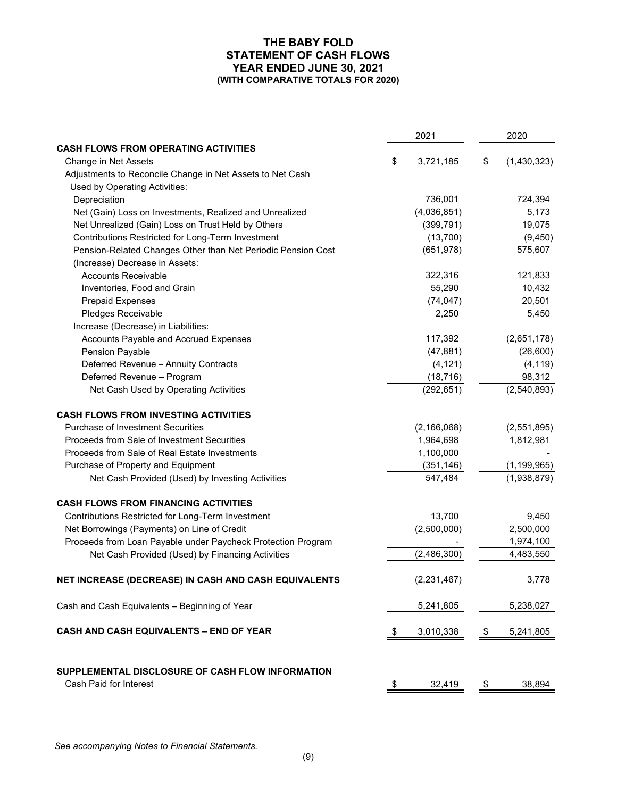# **THE BABY FOLD STATEMENT OF CASH FLOWS YEAR ENDED JUNE 30, 2021 (WITH COMPARATIVE TOTALS FOR 2020)**

|                                                                            | 2021            | 2020              |
|----------------------------------------------------------------------------|-----------------|-------------------|
| <b>CASH FLOWS FROM OPERATING ACTIVITIES</b>                                |                 |                   |
| Change in Net Assets                                                       | \$<br>3,721,185 | \$<br>(1,430,323) |
| Adjustments to Reconcile Change in Net Assets to Net Cash                  |                 |                   |
| Used by Operating Activities:                                              |                 |                   |
| Depreciation                                                               | 736,001         | 724,394           |
| Net (Gain) Loss on Investments, Realized and Unrealized                    | (4,036,851)     | 5,173             |
| Net Unrealized (Gain) Loss on Trust Held by Others                         | (399, 791)      | 19,075            |
| Contributions Restricted for Long-Term Investment                          | (13,700)        | (9, 450)          |
| Pension-Related Changes Other than Net Periodic Pension Cost               | (651, 978)      | 575,607           |
| (Increase) Decrease in Assets:                                             |                 |                   |
| <b>Accounts Receivable</b>                                                 | 322,316         | 121,833           |
| Inventories, Food and Grain                                                | 55,290          | 10,432            |
| <b>Prepaid Expenses</b>                                                    | (74, 047)       | 20,501            |
| Pledges Receivable                                                         | 2,250           | 5,450             |
| Increase (Decrease) in Liabilities:                                        |                 |                   |
| Accounts Payable and Accrued Expenses                                      | 117,392         | (2,651,178)       |
| Pension Payable                                                            | (47, 881)       | (26, 600)         |
| Deferred Revenue - Annuity Contracts                                       | (4, 121)        | (4, 119)          |
| Deferred Revenue - Program                                                 | (18, 716)       | 98,312            |
| Net Cash Used by Operating Activities                                      | (292, 651)      | (2,540,893)       |
| <b>CASH FLOWS FROM INVESTING ACTIVITIES</b>                                |                 |                   |
| Purchase of Investment Securities                                          | (2, 166, 068)   | (2,551,895)       |
| Proceeds from Sale of Investment Securities                                | 1,964,698       | 1,812,981         |
| Proceeds from Sale of Real Estate Investments                              | 1,100,000       |                   |
| Purchase of Property and Equipment                                         | (351, 146)      | (1, 199, 965)     |
| Net Cash Provided (Used) by Investing Activities                           | 547,484         | (1,938,879)       |
| <b>CASH FLOWS FROM FINANCING ACTIVITIES</b>                                |                 |                   |
| Contributions Restricted for Long-Term Investment                          | 13,700          | 9,450             |
| Net Borrowings (Payments) on Line of Credit                                | (2,500,000)     | 2,500,000         |
| Proceeds from Loan Payable under Paycheck Protection Program               |                 | 1,974,100         |
| Net Cash Provided (Used) by Financing Activities                           | (2,486,300)     | 4,483,550         |
| NET INCREASE (DECREASE) IN CASH AND CASH EQUIVALENTS                       | (2,231,467)     | 3,778             |
| Cash and Cash Equivalents - Beginning of Year                              | 5,241,805       | 5,238,027         |
| CASH AND CASH EQUIVALENTS - END OF YEAR                                    | \$<br>3,010,338 | \$<br>5,241,805   |
| SUPPLEMENTAL DISCLOSURE OF CASH FLOW INFORMATION<br>Cash Paid for Interest | 32,419          | 38,894            |
|                                                                            | \$              | \$                |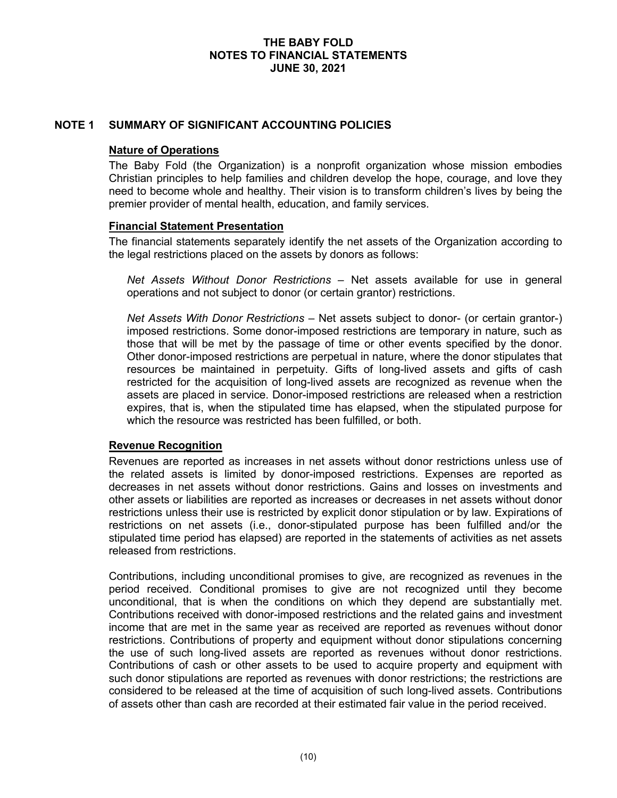# **NOTE 1 SUMMARY OF SIGNIFICANT ACCOUNTING POLICIES**

#### **Nature of Operations**

The Baby Fold (the Organization) is a nonprofit organization whose mission embodies Christian principles to help families and children develop the hope, courage, and love they need to become whole and healthy. Their vision is to transform children's lives by being the premier provider of mental health, education, and family services.

### **Financial Statement Presentation**

The financial statements separately identify the net assets of the Organization according to the legal restrictions placed on the assets by donors as follows:

*Net Assets Without Donor Restrictions* – Net assets available for use in general operations and not subject to donor (or certain grantor) restrictions.

*Net Assets With Donor Restrictions* – Net assets subject to donor- (or certain grantor-) imposed restrictions. Some donor-imposed restrictions are temporary in nature, such as those that will be met by the passage of time or other events specified by the donor. Other donor-imposed restrictions are perpetual in nature, where the donor stipulates that resources be maintained in perpetuity. Gifts of long-lived assets and gifts of cash restricted for the acquisition of long-lived assets are recognized as revenue when the assets are placed in service. Donor-imposed restrictions are released when a restriction expires, that is, when the stipulated time has elapsed, when the stipulated purpose for which the resource was restricted has been fulfilled, or both.

### **Revenue Recognition**

Revenues are reported as increases in net assets without donor restrictions unless use of the related assets is limited by donor-imposed restrictions. Expenses are reported as decreases in net assets without donor restrictions. Gains and losses on investments and other assets or liabilities are reported as increases or decreases in net assets without donor restrictions unless their use is restricted by explicit donor stipulation or by law. Expirations of restrictions on net assets (i.e., donor-stipulated purpose has been fulfilled and/or the stipulated time period has elapsed) are reported in the statements of activities as net assets released from restrictions.

Contributions, including unconditional promises to give, are recognized as revenues in the period received. Conditional promises to give are not recognized until they become unconditional, that is when the conditions on which they depend are substantially met. Contributions received with donor-imposed restrictions and the related gains and investment income that are met in the same year as received are reported as revenues without donor restrictions. Contributions of property and equipment without donor stipulations concerning the use of such long-lived assets are reported as revenues without donor restrictions. Contributions of cash or other assets to be used to acquire property and equipment with such donor stipulations are reported as revenues with donor restrictions; the restrictions are considered to be released at the time of acquisition of such long-lived assets. Contributions of assets other than cash are recorded at their estimated fair value in the period received.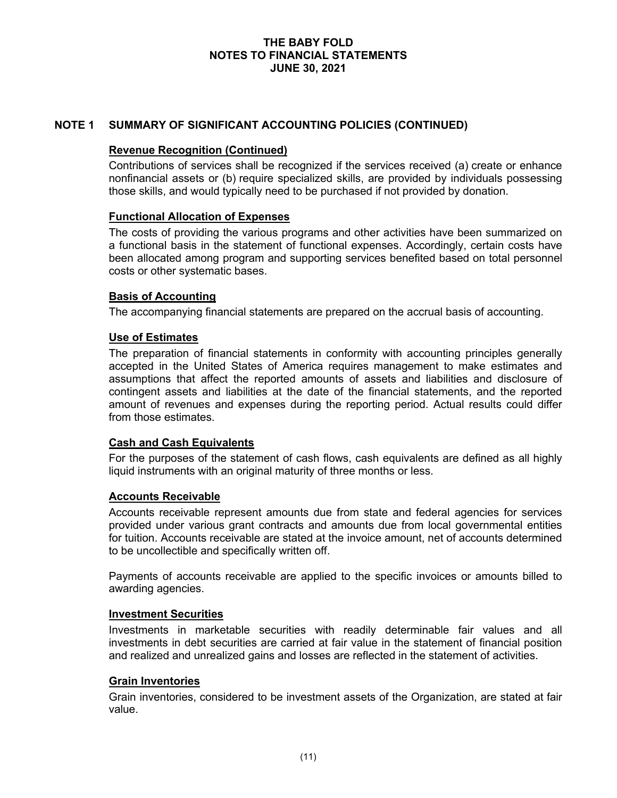# **NOTE 1 SUMMARY OF SIGNIFICANT ACCOUNTING POLICIES (CONTINUED)**

### **Revenue Recognition (Continued)**

Contributions of services shall be recognized if the services received (a) create or enhance nonfinancial assets or (b) require specialized skills, are provided by individuals possessing those skills, and would typically need to be purchased if not provided by donation.

### **Functional Allocation of Expenses**

The costs of providing the various programs and other activities have been summarized on a functional basis in the statement of functional expenses. Accordingly, certain costs have been allocated among program and supporting services benefited based on total personnel costs or other systematic bases.

### **Basis of Accounting**

The accompanying financial statements are prepared on the accrual basis of accounting.

#### **Use of Estimates**

The preparation of financial statements in conformity with accounting principles generally accepted in the United States of America requires management to make estimates and assumptions that affect the reported amounts of assets and liabilities and disclosure of contingent assets and liabilities at the date of the financial statements, and the reported amount of revenues and expenses during the reporting period. Actual results could differ from those estimates.

### **Cash and Cash Equivalents**

For the purposes of the statement of cash flows, cash equivalents are defined as all highly liquid instruments with an original maturity of three months or less.

#### **Accounts Receivable**

Accounts receivable represent amounts due from state and federal agencies for services provided under various grant contracts and amounts due from local governmental entities for tuition. Accounts receivable are stated at the invoice amount, net of accounts determined to be uncollectible and specifically written off.

Payments of accounts receivable are applied to the specific invoices or amounts billed to awarding agencies.

### **Investment Securities**

Investments in marketable securities with readily determinable fair values and all investments in debt securities are carried at fair value in the statement of financial position and realized and unrealized gains and losses are reflected in the statement of activities.

#### **Grain Inventories**

Grain inventories, considered to be investment assets of the Organization, are stated at fair value.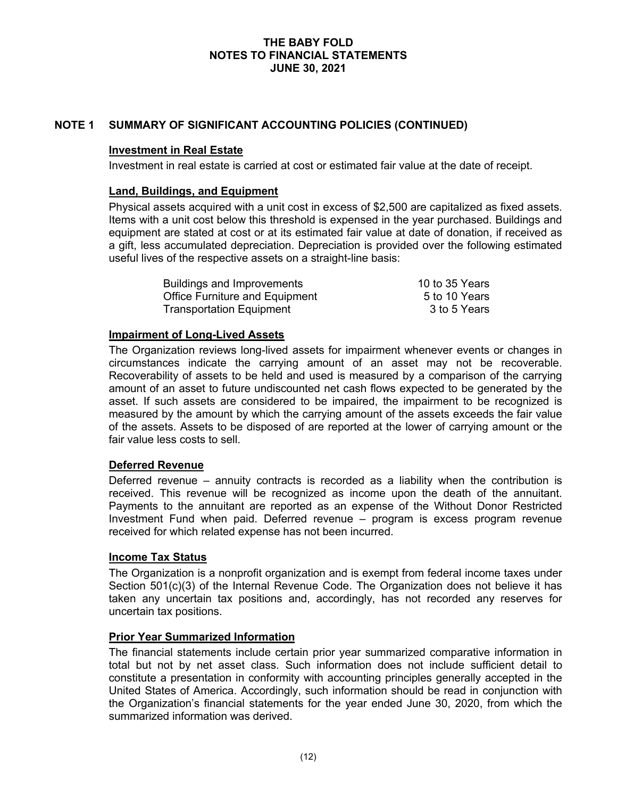# **NOTE 1 SUMMARY OF SIGNIFICANT ACCOUNTING POLICIES (CONTINUED)**

# **Investment in Real Estate**

Investment in real estate is carried at cost or estimated fair value at the date of receipt.

#### **Land, Buildings, and Equipment**

Physical assets acquired with a unit cost in excess of \$2,500 are capitalized as fixed assets. Items with a unit cost below this threshold is expensed in the year purchased. Buildings and equipment are stated at cost or at its estimated fair value at date of donation, if received as a gift, less accumulated depreciation. Depreciation is provided over the following estimated useful lives of the respective assets on a straight-line basis:

| Buildings and Improvements            | 10 to 35 Years |
|---------------------------------------|----------------|
| <b>Office Furniture and Equipment</b> | 5 to 10 Years  |
| <b>Transportation Equipment</b>       | 3 to 5 Years   |

### **Impairment of Long-Lived Assets**

The Organization reviews long-lived assets for impairment whenever events or changes in circumstances indicate the carrying amount of an asset may not be recoverable. Recoverability of assets to be held and used is measured by a comparison of the carrying amount of an asset to future undiscounted net cash flows expected to be generated by the asset. If such assets are considered to be impaired, the impairment to be recognized is measured by the amount by which the carrying amount of the assets exceeds the fair value of the assets. Assets to be disposed of are reported at the lower of carrying amount or the fair value less costs to sell.

### **Deferred Revenue**

Deferred revenue – annuity contracts is recorded as a liability when the contribution is received. This revenue will be recognized as income upon the death of the annuitant. Payments to the annuitant are reported as an expense of the Without Donor Restricted Investment Fund when paid. Deferred revenue – program is excess program revenue received for which related expense has not been incurred.

#### **Income Tax Status**

The Organization is a nonprofit organization and is exempt from federal income taxes under Section 501(c)(3) of the Internal Revenue Code. The Organization does not believe it has taken any uncertain tax positions and, accordingly, has not recorded any reserves for uncertain tax positions.

#### **Prior Year Summarized Information**

The financial statements include certain prior year summarized comparative information in total but not by net asset class. Such information does not include sufficient detail to constitute a presentation in conformity with accounting principles generally accepted in the United States of America. Accordingly, such information should be read in conjunction with the Organization's financial statements for the year ended June 30, 2020, from which the summarized information was derived.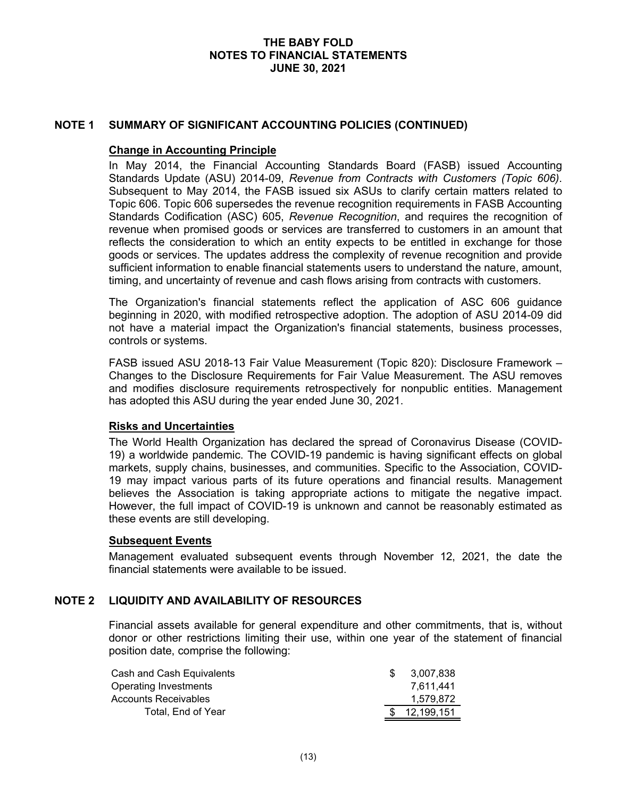# **NOTE 1 SUMMARY OF SIGNIFICANT ACCOUNTING POLICIES (CONTINUED)**

#### **Change in Accounting Principle**

In May 2014, the Financial Accounting Standards Board (FASB) issued Accounting Standards Update (ASU) 2014-09, *Revenue from Contracts with Customers (Topic 606)*. Subsequent to May 2014, the FASB issued six ASUs to clarify certain matters related to Topic 606. Topic 606 supersedes the revenue recognition requirements in FASB Accounting Standards Codification (ASC) 605, *Revenue Recognition*, and requires the recognition of revenue when promised goods or services are transferred to customers in an amount that reflects the consideration to which an entity expects to be entitled in exchange for those goods or services. The updates address the complexity of revenue recognition and provide sufficient information to enable financial statements users to understand the nature, amount, timing, and uncertainty of revenue and cash flows arising from contracts with customers.

The Organization's financial statements reflect the application of ASC 606 guidance beginning in 2020, with modified retrospective adoption. The adoption of ASU 2014-09 did not have a material impact the Organization's financial statements, business processes, controls or systems.

FASB issued ASU 2018-13 Fair Value Measurement (Topic 820): Disclosure Framework – Changes to the Disclosure Requirements for Fair Value Measurement. The ASU removes and modifies disclosure requirements retrospectively for nonpublic entities. Management has adopted this ASU during the year ended June 30, 2021.

### **Risks and Uncertainties**

The World Health Organization has declared the spread of Coronavirus Disease (COVID-19) a worldwide pandemic. The COVID-19 pandemic is having significant effects on global markets, supply chains, businesses, and communities. Specific to the Association, COVID-19 may impact various parts of its future operations and financial results. Management believes the Association is taking appropriate actions to mitigate the negative impact. However, the full impact of COVID-19 is unknown and cannot be reasonably estimated as these events are still developing.

### **Subsequent Events**

Management evaluated subsequent events through November 12, 2021, the date the financial statements were available to be issued.

# **NOTE 2 LIQUIDITY AND AVAILABILITY OF RESOURCES**

Financial assets available for general expenditure and other commitments, that is, without donor or other restrictions limiting their use, within one year of the statement of financial position date, comprise the following:

| Cash and Cash Equivalents | 3.007.838  |
|---------------------------|------------|
| Operating Investments     | 7.611.441  |
| Accounts Receivables      | 1.579.872  |
| Total. End of Year        | 12.199.151 |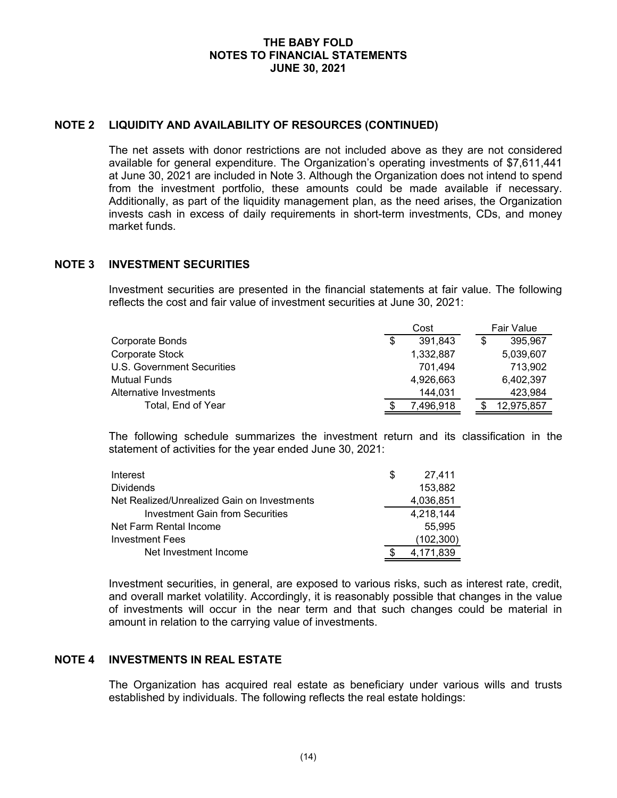### **NOTE 2 LIQUIDITY AND AVAILABILITY OF RESOURCES (CONTINUED)**

The net assets with donor restrictions are not included above as they are not considered available for general expenditure. The Organization's operating investments of \$7,611,441 at June 30, 2021 are included in Note 3. Although the Organization does not intend to spend from the investment portfolio, these amounts could be made available if necessary. Additionally, as part of the liquidity management plan, as the need arises, the Organization invests cash in excess of daily requirements in short-term investments, CDs, and money market funds.

#### **NOTE 3 INVESTMENT SECURITIES**

Investment securities are presented in the financial statements at fair value. The following reflects the cost and fair value of investment securities at June 30, 2021:

|                            | Cost          | Fair Value |
|----------------------------|---------------|------------|
| Corporate Bonds            | \$<br>391,843 | 395,967    |
| Corporate Stock            | 1,332,887     | 5,039,607  |
| U.S. Government Securities | 701.494       | 713,902    |
| Mutual Funds               | 4,926,663     | 6,402,397  |
| Alternative Investments    | 144.031       | 423.984    |
| Total. End of Year         | 7,496,918     | 12,975,857 |

The following schedule summarizes the investment return and its classification in the statement of activities for the year ended June 30, 2021:

| Interest                                    | S | 27.411    |
|---------------------------------------------|---|-----------|
| <b>Dividends</b>                            |   | 153,882   |
| Net Realized/Unrealized Gain on Investments |   | 4,036,851 |
| Investment Gain from Securities             |   | 4,218,144 |
| Net Farm Rental Income                      |   | 55,995    |
| <b>Investment Fees</b>                      |   | (102,300) |
| Net Investment Income                       |   | 4,171,839 |

Investment securities, in general, are exposed to various risks, such as interest rate, credit, and overall market volatility. Accordingly, it is reasonably possible that changes in the value of investments will occur in the near term and that such changes could be material in amount in relation to the carrying value of investments.

# **NOTE 4 INVESTMENTS IN REAL ESTATE**

The Organization has acquired real estate as beneficiary under various wills and trusts established by individuals. The following reflects the real estate holdings: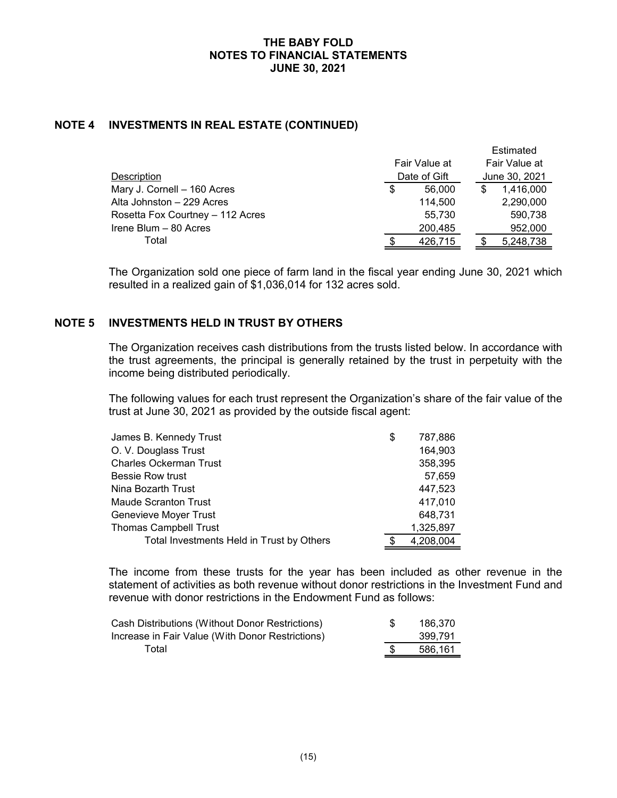# **NOTE 4 INVESTMENTS IN REAL ESTATE (CONTINUED)**

|                                  |   |               | Estimated     |
|----------------------------------|---|---------------|---------------|
|                                  |   | Fair Value at | Fair Value at |
| Description                      |   | Date of Gift  | June 30, 2021 |
| Mary J. Cornell - 160 Acres      | S | 56.000        | 1,416,000     |
| Alta Johnston - 229 Acres        |   | 114,500       | 2,290,000     |
| Rosetta Fox Courtney - 112 Acres |   | 55.730        | 590.738       |
| Irene Blum - 80 Acres            |   | 200,485       | 952,000       |
| Total                            |   | 426,715       | 5,248,738     |

The Organization sold one piece of farm land in the fiscal year ending June 30, 2021 which resulted in a realized gain of \$1,036,014 for 132 acres sold.

# **NOTE 5 INVESTMENTS HELD IN TRUST BY OTHERS**

The Organization receives cash distributions from the trusts listed below. In accordance with the trust agreements, the principal is generally retained by the trust in perpetuity with the income being distributed periodically.

The following values for each trust represent the Organization's share of the fair value of the trust at June 30, 2021 as provided by the outside fiscal agent:

| James B. Kennedy Trust                    | \$<br>787,886 |
|-------------------------------------------|---------------|
| O. V. Douglass Trust                      | 164,903       |
| <b>Charles Ockerman Trust</b>             | 358,395       |
| <b>Bessie Row trust</b>                   | 57,659        |
| Nina Bozarth Trust                        | 447,523       |
| <b>Maude Scranton Trust</b>               | 417,010       |
| <b>Genevieve Moyer Trust</b>              | 648,731       |
| <b>Thomas Campbell Trust</b>              | 1,325,897     |
| Total Investments Held in Trust by Others | 4,208,004     |

The income from these trusts for the year has been included as other revenue in the statement of activities as both revenue without donor restrictions in the Investment Fund and revenue with donor restrictions in the Endowment Fund as follows:

| Cash Distributions (Without Donor Restrictions)  | 186.370 |
|--------------------------------------------------|---------|
| Increase in Fair Value (With Donor Restrictions) | 399.791 |
| Total                                            | 586.161 |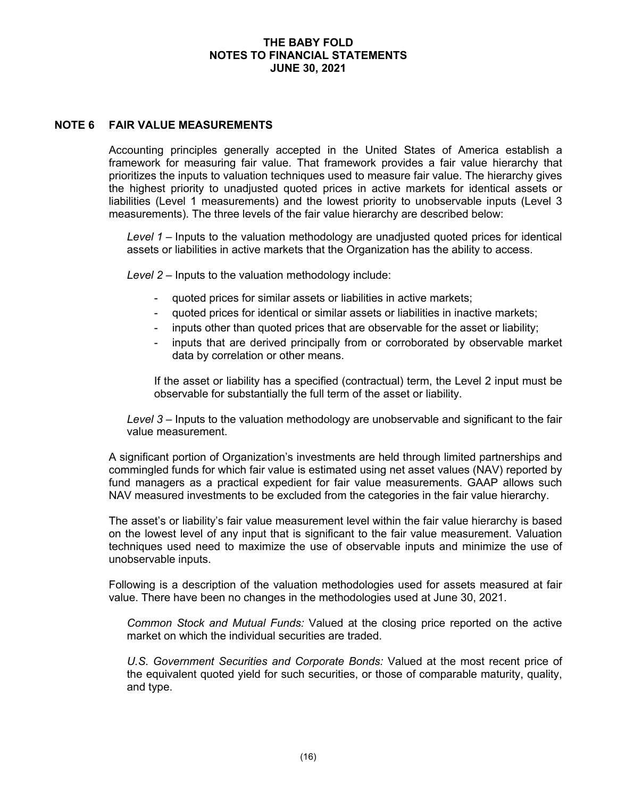# **NOTE 6 FAIR VALUE MEASUREMENTS**

Accounting principles generally accepted in the United States of America establish a framework for measuring fair value. That framework provides a fair value hierarchy that prioritizes the inputs to valuation techniques used to measure fair value. The hierarchy gives the highest priority to unadjusted quoted prices in active markets for identical assets or liabilities (Level 1 measurements) and the lowest priority to unobservable inputs (Level 3 measurements). The three levels of the fair value hierarchy are described below:

*Level 1 –* Inputs to the valuation methodology are unadjusted quoted prices for identical assets or liabilities in active markets that the Organization has the ability to access.

*Level 2 –* Inputs to the valuation methodology include:

- quoted prices for similar assets or liabilities in active markets;
- quoted prices for identical or similar assets or liabilities in inactive markets;
- inputs other than quoted prices that are observable for the asset or liability;
- inputs that are derived principally from or corroborated by observable market data by correlation or other means.

If the asset or liability has a specified (contractual) term, the Level 2 input must be observable for substantially the full term of the asset or liability.

*Level 3 –* Inputs to the valuation methodology are unobservable and significant to the fair value measurement.

A significant portion of Organization's investments are held through limited partnerships and commingled funds for which fair value is estimated using net asset values (NAV) reported by fund managers as a practical expedient for fair value measurements. GAAP allows such NAV measured investments to be excluded from the categories in the fair value hierarchy.

The asset's or liability's fair value measurement level within the fair value hierarchy is based on the lowest level of any input that is significant to the fair value measurement. Valuation techniques used need to maximize the use of observable inputs and minimize the use of unobservable inputs.

Following is a description of the valuation methodologies used for assets measured at fair value. There have been no changes in the methodologies used at June 30, 2021.

*Common Stock and Mutual Funds:* Valued at the closing price reported on the active market on which the individual securities are traded.

*U.S. Government Securities and Corporate Bonds:* Valued at the most recent price of the equivalent quoted yield for such securities, or those of comparable maturity, quality, and type.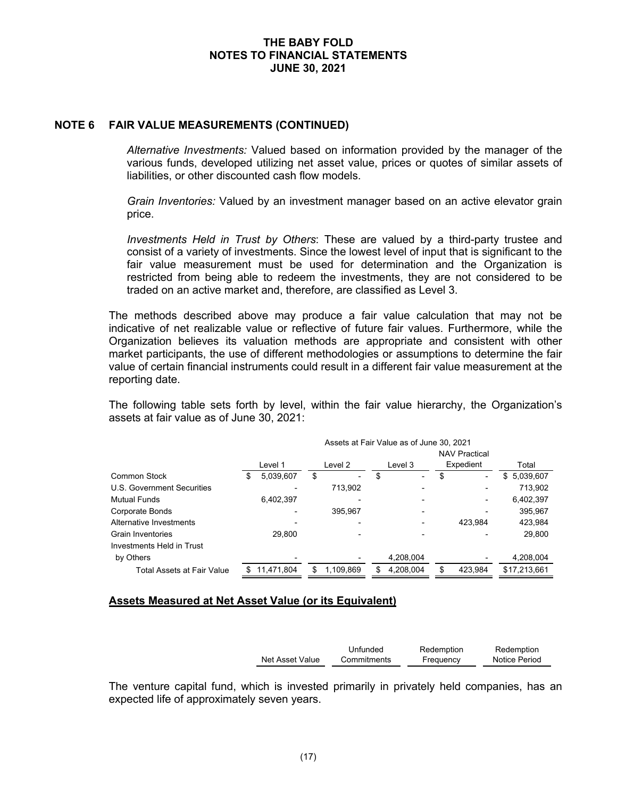#### **NOTE 6 FAIR VALUE MEASUREMENTS (CONTINUED)**

*Alternative Investments:* Valued based on information provided by the manager of the various funds, developed utilizing net asset value, prices or quotes of similar assets of liabilities, or other discounted cash flow models.

*Grain Inventories:* Valued by an investment manager based on an active elevator grain price.

*Investments Held in Trust by Others*: These are valued by a third-party trustee and consist of a variety of investments. Since the lowest level of input that is significant to the fair value measurement must be used for determination and the Organization is restricted from being able to redeem the investments, they are not considered to be traded on an active market and, therefore, are classified as Level 3.

The methods described above may produce a fair value calculation that may not be indicative of net realizable value or reflective of future fair values. Furthermore, while the Organization believes its valuation methods are appropriate and consistent with other market participants, the use of different methodologies or assumptions to determine the fair value of certain financial instruments could result in a different fair value measurement at the reporting date.

The following table sets forth by level, within the fair value hierarchy, the Organization's assets at fair value as of June 30, 2021:

|                                   | Assets at Fair Value as of June 30, 2021 |                      |    |           |     |                |    |           |                 |  |
|-----------------------------------|------------------------------------------|----------------------|----|-----------|-----|----------------|----|-----------|-----------------|--|
|                                   |                                          | <b>NAV Practical</b> |    |           |     |                |    |           |                 |  |
|                                   |                                          | Level 1              |    | Level 2   |     | Level 3        |    | Expedient | Total           |  |
| Common Stock                      | S                                        | 5,039,607            | \$ |           | \$  | $\blacksquare$ | \$ | -         | 5,039,607<br>\$ |  |
| U.S. Government Securities        |                                          |                      |    | 713.902   |     |                |    |           | 713,902         |  |
| <b>Mutual Funds</b>               |                                          | 6,402,397            |    |           |     |                |    | -         | 6.402.397       |  |
| Corporate Bonds                   |                                          |                      |    | 395.967   |     |                |    |           | 395.967         |  |
| Alternative Investments           |                                          |                      |    |           |     |                |    | 423.984   | 423.984         |  |
| <b>Grain Inventories</b>          |                                          | 29.800               |    |           |     |                |    |           | 29.800          |  |
| Investments Held in Trust         |                                          |                      |    |           |     |                |    |           |                 |  |
| by Others                         |                                          |                      |    |           |     | 4,208,004      |    |           | 4,208,004       |  |
| <b>Total Assets at Fair Value</b> | \$.                                      | 11,471,804           | S  | 1,109,869 | \$. | 4,208,004      | \$ | 423,984   | \$17,213,661    |  |

#### **Assets Measured at Net Asset Value (or its Equivalent)**

|                 | Unfunded    | Redemption | Redemption    |
|-----------------|-------------|------------|---------------|
| Net Asset Value | Commitments | Frequency  | Notice Period |

The venture capital fund, which is invested primarily in privately held companies, has an expected life of approximately seven years.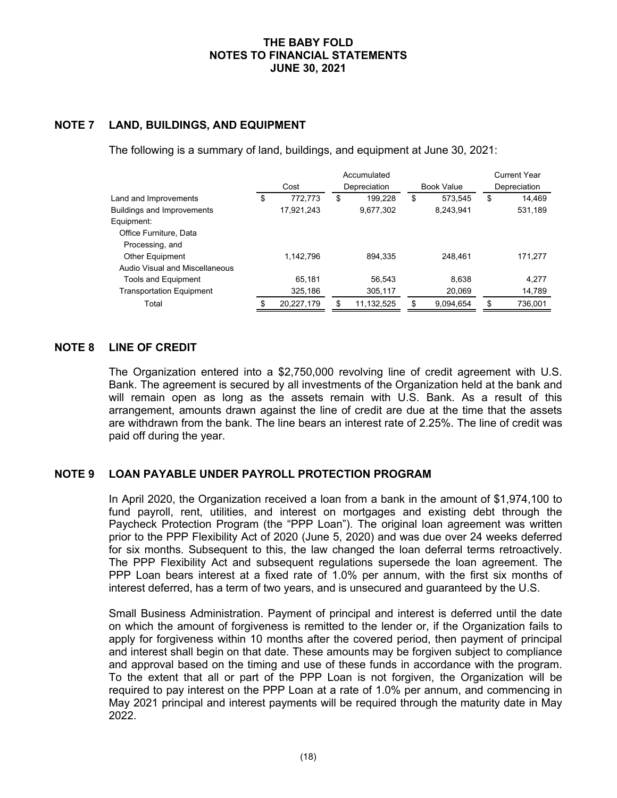# **NOTE 7 LAND, BUILDINGS, AND EQUIPMENT**

The following is a summary of land, buildings, and equipment at June 30, 2021:

|               |                  |                             |           |                   | <b>Current Year</b> |
|---------------|------------------|-----------------------------|-----------|-------------------|---------------------|
| Cost          |                  |                             |           |                   | Depreciation        |
| \$<br>772,773 | \$<br>199.228    | \$                          | 573.545   | \$                | 14,469              |
| 17,921,243    | 9,677,302        |                             | 8,243,941 |                   | 531,189             |
|               |                  |                             |           |                   |                     |
|               |                  |                             |           |                   |                     |
|               |                  |                             |           |                   |                     |
| 1,142,796     | 894.335          |                             | 248.461   |                   | 171,277             |
|               |                  |                             |           |                   |                     |
| 65.181        | 56.543           |                             | 8.638     |                   | 4.277               |
| 325,186       | 305.117          |                             | 20.069    |                   | 14,789              |
| 20,227,179    | \$<br>11,132,525 |                             | 9,094,654 | \$                | 736,001             |
|               |                  | Accumulated<br>Depreciation |           | <b>Book Value</b> |                     |

### **NOTE 8 LINE OF CREDIT**

The Organization entered into a \$2,750,000 revolving line of credit agreement with U.S. Bank. The agreement is secured by all investments of the Organization held at the bank and will remain open as long as the assets remain with U.S. Bank. As a result of this arrangement, amounts drawn against the line of credit are due at the time that the assets are withdrawn from the bank. The line bears an interest rate of 2.25%. The line of credit was paid off during the year.

### **NOTE 9 LOAN PAYABLE UNDER PAYROLL PROTECTION PROGRAM**

In April 2020, the Organization received a loan from a bank in the amount of \$1,974,100 to fund payroll, rent, utilities, and interest on mortgages and existing debt through the Paycheck Protection Program (the "PPP Loan"). The original loan agreement was written prior to the PPP Flexibility Act of 2020 (June 5, 2020) and was due over 24 weeks deferred for six months. Subsequent to this, the law changed the loan deferral terms retroactively. The PPP Flexibility Act and subsequent regulations supersede the loan agreement. The PPP Loan bears interest at a fixed rate of 1.0% per annum, with the first six months of interest deferred, has a term of two years, and is unsecured and guaranteed by the U.S.

Small Business Administration. Payment of principal and interest is deferred until the date on which the amount of forgiveness is remitted to the lender or, if the Organization fails to apply for forgiveness within 10 months after the covered period, then payment of principal and interest shall begin on that date. These amounts may be forgiven subject to compliance and approval based on the timing and use of these funds in accordance with the program. To the extent that all or part of the PPP Loan is not forgiven, the Organization will be required to pay interest on the PPP Loan at a rate of 1.0% per annum, and commencing in May 2021 principal and interest payments will be required through the maturity date in May 2022.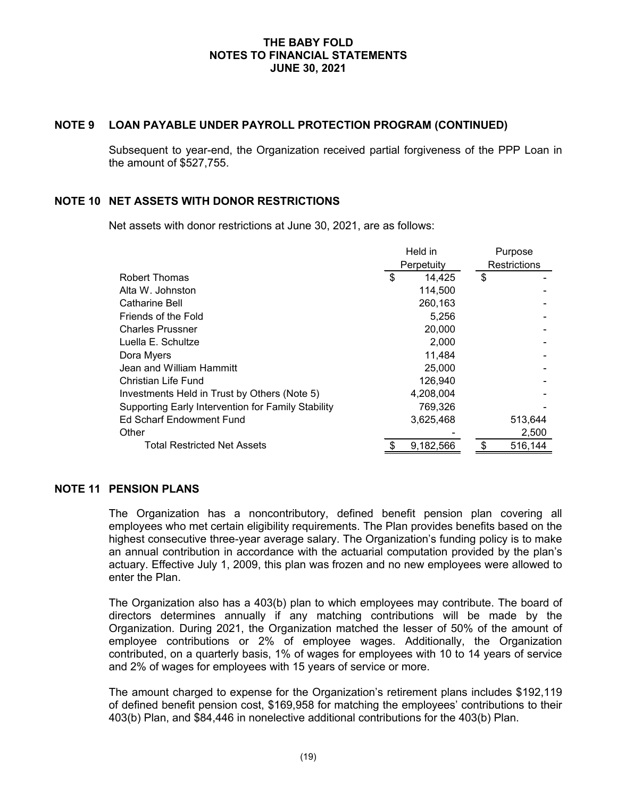# **NOTE 9 LOAN PAYABLE UNDER PAYROLL PROTECTION PROGRAM (CONTINUED)**

Subsequent to year-end, the Organization received partial forgiveness of the PPP Loan in the amount of \$527,755.

# **NOTE 10 NET ASSETS WITH DONOR RESTRICTIONS**

Net assets with donor restrictions at June 30, 2021, are as follows:

|                                                    | Held in |            | Purpose |              |
|----------------------------------------------------|---------|------------|---------|--------------|
|                                                    |         | Perpetuity |         | Restrictions |
| Robert Thomas                                      | \$      | 14.425     | \$      |              |
| Alta W. Johnston                                   |         | 114.500    |         |              |
| Catharine Bell                                     |         | 260,163    |         |              |
| Friends of the Fold                                |         | 5,256      |         |              |
| <b>Charles Prussner</b>                            |         | 20,000     |         |              |
| Luella E. Schultze                                 |         | 2,000      |         |              |
| Dora Myers                                         |         | 11,484     |         |              |
| Jean and William Hammitt                           |         | 25,000     |         |              |
| Christian Life Fund                                |         | 126,940    |         |              |
| Investments Held in Trust by Others (Note 5)       |         | 4,208,004  |         |              |
| Supporting Early Intervention for Family Stability |         | 769,326    |         |              |
| Ed Scharf Endowment Fund                           |         | 3,625,468  |         | 513,644      |
| Other                                              |         |            |         | 2,500        |
| Total Restricted Net Assets                        |         | 9,182,566  |         | 516.144      |

# **NOTE 11 PENSION PLANS**

The Organization has a noncontributory, defined benefit pension plan covering all employees who met certain eligibility requirements. The Plan provides benefits based on the highest consecutive three-year average salary. The Organization's funding policy is to make an annual contribution in accordance with the actuarial computation provided by the plan's actuary. Effective July 1, 2009, this plan was frozen and no new employees were allowed to enter the Plan.

The Organization also has a 403(b) plan to which employees may contribute. The board of directors determines annually if any matching contributions will be made by the Organization. During 2021, the Organization matched the lesser of 50% of the amount of employee contributions or 2% of employee wages. Additionally, the Organization contributed, on a quarterly basis, 1% of wages for employees with 10 to 14 years of service and 2% of wages for employees with 15 years of service or more.

The amount charged to expense for the Organization's retirement plans includes \$192,119 of defined benefit pension cost, \$169,958 for matching the employees' contributions to their 403(b) Plan, and \$84,446 in nonelective additional contributions for the 403(b) Plan.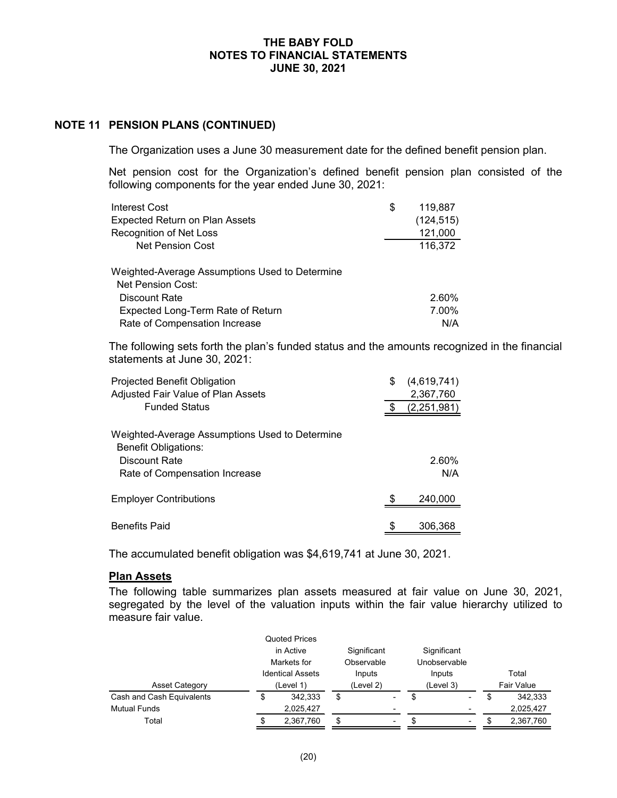# **NOTE 11 PENSION PLANS (CONTINUED)**

The Organization uses a June 30 measurement date for the defined benefit pension plan.

Net pension cost for the Organization's defined benefit pension plan consisted of the following components for the year ended June 30, 2021:

| Interest Cost                                  | \$<br>119,887 |
|------------------------------------------------|---------------|
| <b>Expected Return on Plan Assets</b>          | (124, 515)    |
| Recognition of Net Loss                        | 121,000       |
| <b>Net Pension Cost</b>                        | 116,372       |
| Weighted-Average Assumptions Used to Determine |               |
| Net Pension Cost:                              |               |
| Discount Rate                                  | 2.60%         |
| Expected Long-Term Rate of Return              | 7.00%         |
| Rate of Compensation Increase                  | N/A           |

The following sets forth the plan's funded status and the amounts recognized in the financial statements at June 30, 2021:

| Projected Benefit Obligation                                                                   | \$ | (4,619,741)   |
|------------------------------------------------------------------------------------------------|----|---------------|
| Adjusted Fair Value of Plan Assets                                                             |    | 2,367,760     |
| <b>Funded Status</b>                                                                           | ß. | (2, 251, 981) |
| Weighted-Average Assumptions Used to Determine<br><b>Benefit Obligations:</b><br>Discount Rate |    | 2.60%         |
| Rate of Compensation Increase                                                                  |    | N/A           |
| <b>Employer Contributions</b>                                                                  | £. | 240,000       |
| <b>Benefits Paid</b>                                                                           |    | 306,368       |

The accumulated benefit obligation was \$4,619,741 at June 30, 2021.

### **Plan Assets**

The following table summarizes plan assets measured at fair value on June 30, 2021, segregated by the level of the valuation inputs within the fair value hierarchy utilized to measure fair value.

|                           |    | <b>Quoted Prices</b>    |                                |    |              |   |                   |
|---------------------------|----|-------------------------|--------------------------------|----|--------------|---|-------------------|
|                           |    | in Active               | Significant                    |    | Significant  |   |                   |
|                           |    | Markets for             | Observable                     |    | Unobservable |   |                   |
|                           |    | <b>Identical Assets</b> | Inputs                         |    | Inputs       |   | Total             |
| <b>Asset Category</b>     |    | (Level 1)               | (Level 2)                      |    | (Level 3)    |   | <b>Fair Value</b> |
| Cash and Cash Equivalents | \$ | 342.333                 | \$<br>$\overline{\phantom{0}}$ |    | ۰.           | ъ | 342.333           |
| <b>Mutual Funds</b>       |    | 2,025,427               |                                |    |              |   | 2,025,427         |
| Total                     | S  | 2,367,760               | \$<br>$\overline{\phantom{a}}$ | £. |              | S | 2,367,760         |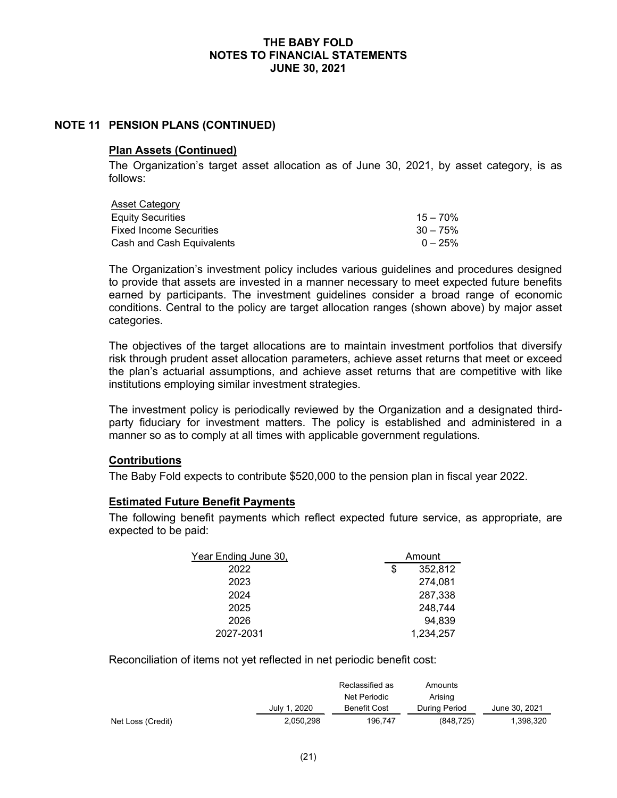# **NOTE 11 PENSION PLANS (CONTINUED)**

### **Plan Assets (Continued)**

The Organization's target asset allocation as of June 30, 2021, by asset category, is as follows:

| <b>Asset Category</b>          |             |
|--------------------------------|-------------|
| <b>Equity Securities</b>       | $15 - 70%$  |
| <b>Fixed Income Securities</b> | $30 - 75\%$ |
| Cash and Cash Equivalents      | $0 - 25\%$  |

The Organization's investment policy includes various guidelines and procedures designed to provide that assets are invested in a manner necessary to meet expected future benefits earned by participants. The investment guidelines consider a broad range of economic conditions. Central to the policy are target allocation ranges (shown above) by major asset categories.

The objectives of the target allocations are to maintain investment portfolios that diversify risk through prudent asset allocation parameters, achieve asset returns that meet or exceed the plan's actuarial assumptions, and achieve asset returns that are competitive with like institutions employing similar investment strategies.

The investment policy is periodically reviewed by the Organization and a designated thirdparty fiduciary for investment matters. The policy is established and administered in a manner so as to comply at all times with applicable government regulations.

### **Contributions**

The Baby Fold expects to contribute \$520,000 to the pension plan in fiscal year 2022.

# **Estimated Future Benefit Payments**

The following benefit payments which reflect expected future service, as appropriate, are expected to be paid:

| Year Ending June 30, | Amount |           |  |
|----------------------|--------|-----------|--|
| 2022                 | \$     | 352,812   |  |
| 2023                 |        | 274.081   |  |
| 2024                 |        | 287,338   |  |
| 2025                 |        | 248,744   |  |
| 2026                 |        | 94,839    |  |
| 2027-2031            |        | 1,234,257 |  |

Reconciliation of items not yet reflected in net periodic benefit cost:

|                   |              | Reclassified as     | Amounts       |               |
|-------------------|--------------|---------------------|---------------|---------------|
|                   |              | Net Periodic        | Arisina       |               |
|                   | July 1, 2020 | <b>Benefit Cost</b> | During Period | June 30, 2021 |
| Net Loss (Credit) | 2.050.298    | 196.747             | (848.725)     | 1.398.320     |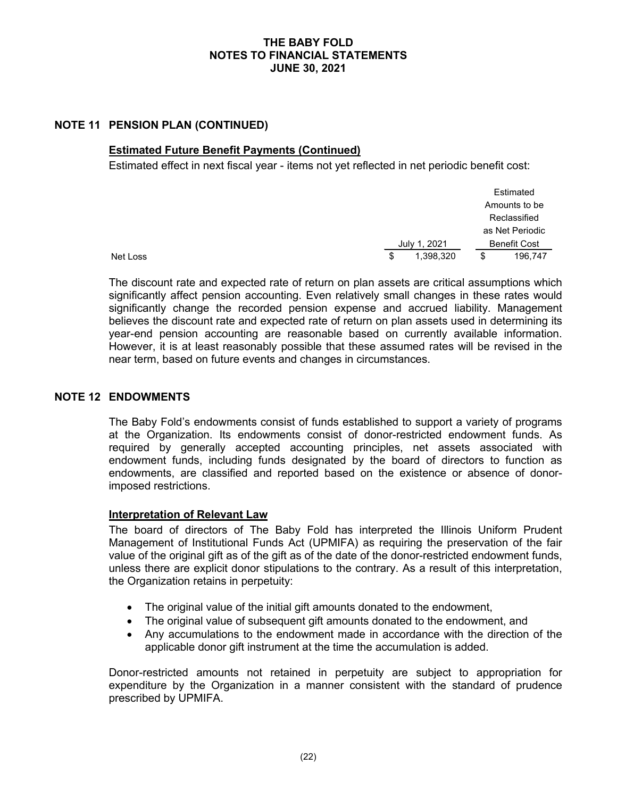# **NOTE 11 PENSION PLAN (CONTINUED)**

# **Estimated Future Benefit Payments (Continued)**

Estimated effect in next fiscal year - items not yet reflected in net periodic benefit cost:

|          |                 | Estimated           |
|----------|-----------------|---------------------|
|          |                 | Amounts to be       |
|          |                 | Reclassified        |
|          |                 | as Net Periodic     |
|          | July 1, 2021    | <b>Benefit Cost</b> |
| Net Loss | \$<br>1,398,320 | \$<br>196,747       |

The discount rate and expected rate of return on plan assets are critical assumptions which significantly affect pension accounting. Even relatively small changes in these rates would significantly change the recorded pension expense and accrued liability. Management believes the discount rate and expected rate of return on plan assets used in determining its year-end pension accounting are reasonable based on currently available information. However, it is at least reasonably possible that these assumed rates will be revised in the near term, based on future events and changes in circumstances.

# **NOTE 12 ENDOWMENTS**

The Baby Fold's endowments consist of funds established to support a variety of programs at the Organization. Its endowments consist of donor-restricted endowment funds. As required by generally accepted accounting principles, net assets associated with endowment funds, including funds designated by the board of directors to function as endowments, are classified and reported based on the existence or absence of donorimposed restrictions.

### **Interpretation of Relevant Law**

The board of directors of The Baby Fold has interpreted the Illinois Uniform Prudent Management of Institutional Funds Act (UPMIFA) as requiring the preservation of the fair value of the original gift as of the gift as of the date of the donor-restricted endowment funds, unless there are explicit donor stipulations to the contrary. As a result of this interpretation, the Organization retains in perpetuity:

- The original value of the initial gift amounts donated to the endowment,
- The original value of subsequent gift amounts donated to the endowment, and
- Any accumulations to the endowment made in accordance with the direction of the applicable donor gift instrument at the time the accumulation is added.

Donor-restricted amounts not retained in perpetuity are subject to appropriation for expenditure by the Organization in a manner consistent with the standard of prudence prescribed by UPMIFA.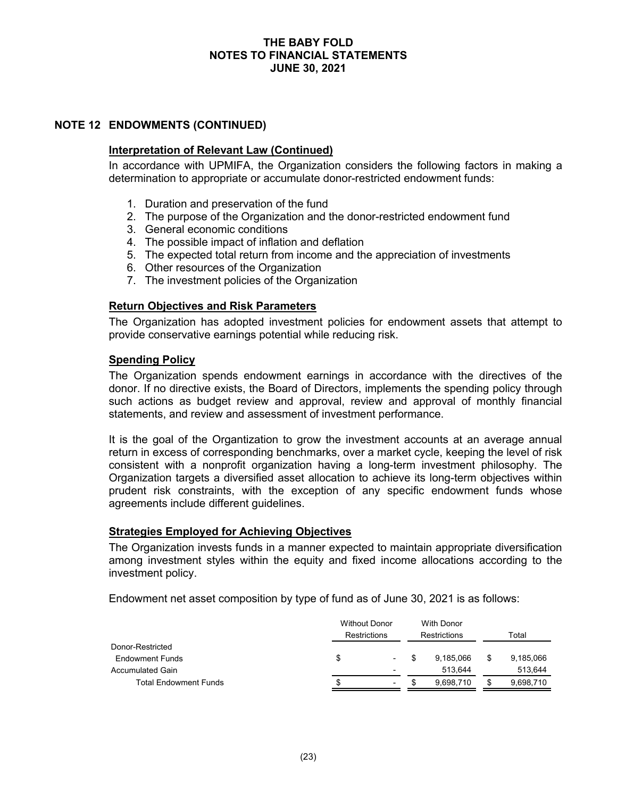# **NOTE 12 ENDOWMENTS (CONTINUED)**

# **Interpretation of Relevant Law (Continued)**

In accordance with UPMIFA, the Organization considers the following factors in making a determination to appropriate or accumulate donor-restricted endowment funds:

- 1. Duration and preservation of the fund
- 2. The purpose of the Organization and the donor-restricted endowment fund
- 3. General economic conditions
- 4. The possible impact of inflation and deflation
- 5. The expected total return from income and the appreciation of investments
- 6. Other resources of the Organization
- 7. The investment policies of the Organization

### **Return Objectives and Risk Parameters**

The Organization has adopted investment policies for endowment assets that attempt to provide conservative earnings potential while reducing risk.

# **Spending Policy**

The Organization spends endowment earnings in accordance with the directives of the donor. If no directive exists, the Board of Directors, implements the spending policy through such actions as budget review and approval, review and approval of monthly financial statements, and review and assessment of investment performance.

It is the goal of the Organtization to grow the investment accounts at an average annual return in excess of corresponding benchmarks, over a market cycle, keeping the level of risk consistent with a nonprofit organization having a long-term investment philosophy. The Organization targets a diversified asset allocation to achieve its long-term objectives within prudent risk constraints, with the exception of any specific endowment funds whose agreements include different guidelines.

# **Strategies Employed for Achieving Objectives**

The Organization invests funds in a manner expected to maintain appropriate diversification among investment styles within the equity and fixed income allocations according to the investment policy.

Endowment net asset composition by type of fund as of June 30, 2021 is as follows:

|                              | <b>Without Donor</b><br><b>Restrictions</b> |                          | With Donor<br><b>Restrictions</b> |    | Total     |  |  |
|------------------------------|---------------------------------------------|--------------------------|-----------------------------------|----|-----------|--|--|
| Donor-Restricted             |                                             |                          |                                   |    |           |  |  |
| <b>Endowment Funds</b>       | \$                                          | ۰.                       | 9.185.066                         | \$ | 9,185,066 |  |  |
| <b>Accumulated Gain</b>      |                                             | $\overline{\phantom{0}}$ | 513.644                           |    | 513.644   |  |  |
| <b>Total Endowment Funds</b> | \$                                          | ٠                        | 9.698.710                         | S  | 9,698,710 |  |  |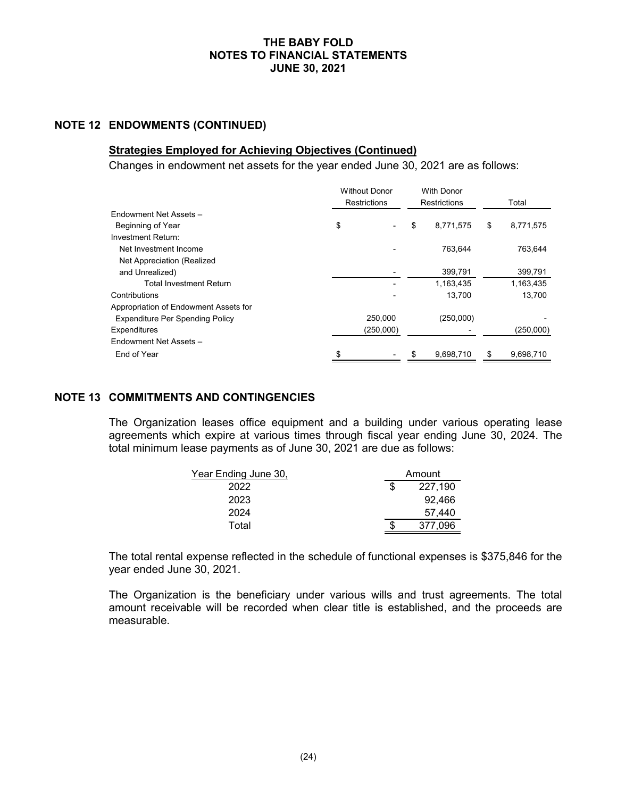# **NOTE 12 ENDOWMENTS (CONTINUED)**

# **Strategies Employed for Achieving Objectives (Continued)**

Changes in endowment net assets for the year ended June 30, 2021 are as follows:

|                                        | <b>Without Donor</b> |    | <b>With Donor</b>   |       |           |  |
|----------------------------------------|----------------------|----|---------------------|-------|-----------|--|
|                                        | <b>Restrictions</b>  |    | <b>Restrictions</b> | Total |           |  |
| <b>Fndowment Net Assets -</b>          |                      |    |                     |       |           |  |
| Beginning of Year                      | \$                   | \$ | 8,771,575           | \$    | 8,771,575 |  |
| Investment Return:                     |                      |    |                     |       |           |  |
| Net Investment Income                  |                      |    | 763.644             |       | 763.644   |  |
| Net Appreciation (Realized             |                      |    |                     |       |           |  |
| and Unrealized)                        |                      |    | 399,791             |       | 399,791   |  |
| <b>Total Investment Return</b>         |                      |    | 1,163,435           |       | 1,163,435 |  |
| Contributions                          |                      |    | 13,700              |       | 13,700    |  |
| Appropriation of Endowment Assets for  |                      |    |                     |       |           |  |
| <b>Expenditure Per Spending Policy</b> | 250,000              |    | (250,000)           |       |           |  |
| <b>Expenditures</b>                    | (250,000)            |    |                     |       | (250,000) |  |
| Endowment Net Assets -                 |                      |    |                     |       |           |  |
| End of Year                            | \$                   | S  | 9,698,710           | \$    | 9.698.710 |  |

# **NOTE 13 COMMITMENTS AND CONTINGENCIES**

The Organization leases office equipment and a building under various operating lease agreements which expire at various times through fiscal year ending June 30, 2024. The total minimum lease payments as of June 30, 2021 are due as follows:

| Year Ending June 30, |   | Amount  |
|----------------------|---|---------|
| 2022                 | S | 227,190 |
| 2023                 |   | 92.466  |
| 2024                 |   | 57,440  |
| Total                | S | 377,096 |

The total rental expense reflected in the schedule of functional expenses is \$375,846 for the year ended June 30, 2021.

The Organization is the beneficiary under various wills and trust agreements. The total amount receivable will be recorded when clear title is established, and the proceeds are measurable.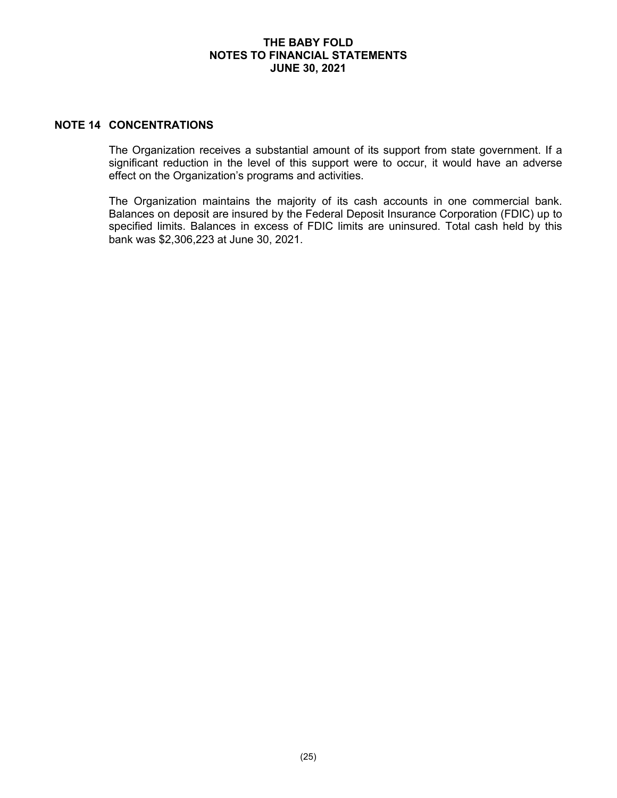### **NOTE 14 CONCENTRATIONS**

The Organization receives a substantial amount of its support from state government. If a significant reduction in the level of this support were to occur, it would have an adverse effect on the Organization's programs and activities.

The Organization maintains the majority of its cash accounts in one commercial bank. Balances on deposit are insured by the Federal Deposit Insurance Corporation (FDIC) up to specified limits. Balances in excess of FDIC limits are uninsured. Total cash held by this bank was \$2,306,223 at June 30, 2021.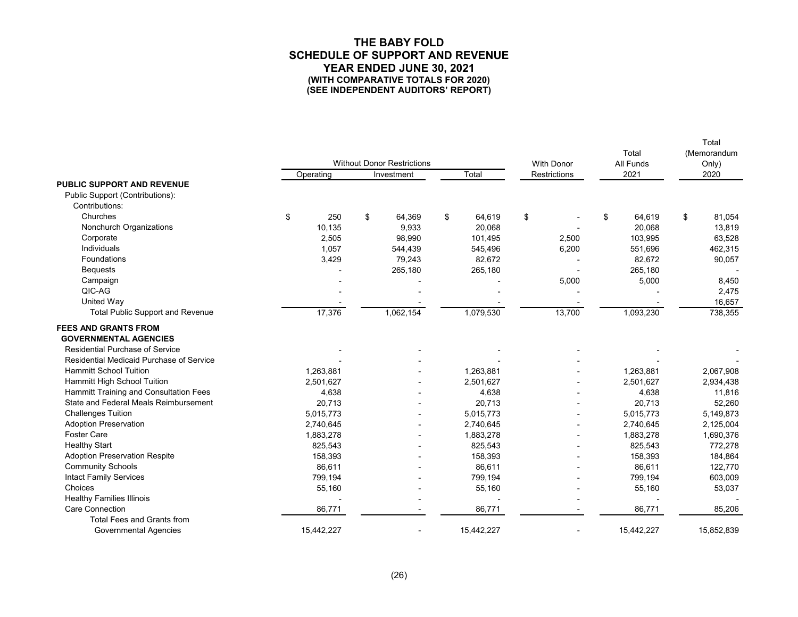#### **THE BABY FOLD SCHEDULE OF SUPPORT AND REVENUE YEAR ENDED JUNE 30, 2021 (WITH COMPARATIVE TOTALS FOR 2020) (SEE INDEPENDENT AUDITORS' REPORT)**

Total

|                                          |            |                                   |    |                   |    |              | Total        | (Memorandum  |
|------------------------------------------|------------|-----------------------------------|----|-------------------|----|--------------|--------------|--------------|
|                                          |            | <b>Without Donor Restrictions</b> |    | <b>With Donor</b> |    | All Funds    | Only)        |              |
|                                          | Operating  | Investment                        |    | Total             |    | Restrictions | 2021         | 2020         |
| <b>PUBLIC SUPPORT AND REVENUE</b>        |            |                                   |    |                   |    |              |              |              |
| Public Support (Contributions):          |            |                                   |    |                   |    |              |              |              |
| Contributions:                           |            |                                   |    |                   |    |              |              |              |
| Churches                                 | \$<br>250  | \$<br>64,369                      | \$ | 64,619            | \$ |              | \$<br>64,619 | \$<br>81,054 |
| Nonchurch Organizations                  | 10,135     | 9,933                             |    | 20,068            |    |              | 20,068       | 13,819       |
| Corporate                                | 2,505      | 98,990                            |    | 101,495           |    | 2,500        | 103,995      | 63,528       |
| Individuals                              | 1,057      | 544,439                           |    | 545,496           |    | 6,200        | 551,696      | 462,315      |
| Foundations                              | 3,429      | 79,243                            |    | 82,672            |    |              | 82,672       | 90,057       |
| <b>Bequests</b>                          |            | 265,180                           |    | 265,180           |    |              | 265,180      |              |
| Campaign                                 |            |                                   |    |                   |    | 5,000        | 5,000        | 8,450        |
| QIC-AG                                   |            |                                   |    |                   |    |              |              | 2,475        |
| United Way                               |            |                                   |    |                   |    |              |              | 16,657       |
| <b>Total Public Support and Revenue</b>  | 17,376     | 1,062,154                         |    | 1,079,530         |    | 13,700       | 1,093,230    | 738,355      |
| <b>FEES AND GRANTS FROM</b>              |            |                                   |    |                   |    |              |              |              |
| <b>GOVERNMENTAL AGENCIES</b>             |            |                                   |    |                   |    |              |              |              |
| <b>Residential Purchase of Service</b>   |            |                                   |    |                   |    |              |              |              |
| Residential Medicaid Purchase of Service |            |                                   |    |                   |    |              |              |              |
| <b>Hammitt School Tuition</b>            | 1,263,881  |                                   |    | 1,263,881         |    |              | 1,263,881    | 2,067,908    |
| Hammitt High School Tuition              | 2,501,627  |                                   |    | 2,501,627         |    |              | 2,501,627    | 2,934,438    |
| Hammitt Training and Consultation Fees   | 4,638      |                                   |    | 4,638             |    |              | 4,638        | 11,816       |
| State and Federal Meals Reimbursement    | 20,713     |                                   |    | 20,713            |    |              | 20,713       | 52,260       |
| <b>Challenges Tuition</b>                | 5,015,773  |                                   |    | 5,015,773         |    |              | 5,015,773    | 5,149,873    |
| <b>Adoption Preservation</b>             | 2,740,645  |                                   |    | 2,740,645         |    |              | 2,740,645    | 2,125,004    |
| Foster Care                              | 1,883,278  |                                   |    | 1,883,278         |    |              | 1,883,278    | 1,690,376    |
| <b>Healthy Start</b>                     | 825,543    |                                   |    | 825,543           |    |              | 825,543      | 772,278      |
| <b>Adoption Preservation Respite</b>     | 158,393    |                                   |    | 158,393           |    |              | 158,393      | 184,864      |
| <b>Community Schools</b>                 | 86,611     |                                   |    | 86,611            |    |              | 86,611       | 122,770      |
| <b>Intact Family Services</b>            | 799,194    |                                   |    | 799,194           |    |              | 799,194      | 603,009      |
| Choices                                  | 55,160     |                                   |    | 55,160            |    |              | 55,160       | 53,037       |
| <b>Healthy Families Illinois</b>         |            |                                   |    |                   |    |              |              |              |
| <b>Care Connection</b>                   | 86,771     |                                   |    | 86,771            |    |              | 86,771       | 85,206       |
| <b>Total Fees and Grants from</b>        |            |                                   |    |                   |    |              |              |              |
| <b>Governmental Agencies</b>             | 15,442,227 |                                   |    | 15,442,227        |    |              | 15,442,227   | 15,852,839   |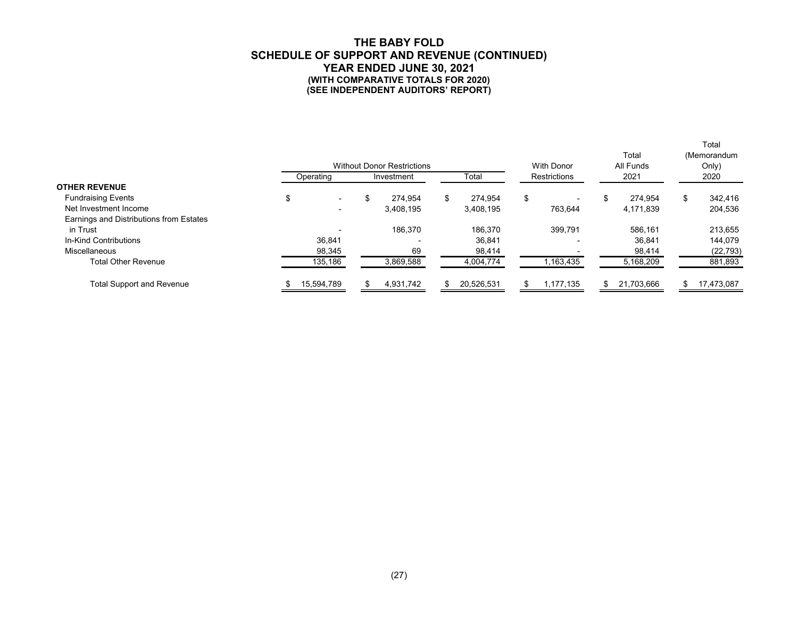#### **THE BABY FOLD SCHEDULE OF SUPPORT AND REVENUE (CONTINUED) YEAR ENDED JUNE 30, 2021 (WITH COMPARATIVE TOTALS FOR 2020) (SEE INDEPENDENT AUDITORS' REPORT)**

|                                         |                          | <b>Without Donor Restrictions</b> |               | <b>With Donor</b>              | Total<br>All Funds |    | Total<br>(Memorandum<br>Only) |
|-----------------------------------------|--------------------------|-----------------------------------|---------------|--------------------------------|--------------------|----|-------------------------------|
|                                         | Operating                | Investment                        | Total         | <b>Restrictions</b>            | 2021               |    | 2020                          |
| <b>OTHER REVENUE</b>                    |                          |                                   |               |                                |                    |    |                               |
| <b>Fundraising Events</b>               | $\overline{\phantom{a}}$ | \$<br>274.954                     | \$<br>274.954 | \$<br>$\overline{\phantom{0}}$ | 274.954            | \$ | 342,416                       |
| Net Investment Income                   | $\overline{\phantom{0}}$ | 3,408,195                         | 3,408,195     | 763.644                        | 4,171,839          |    | 204.536                       |
| Earnings and Distributions from Estates |                          |                                   |               |                                |                    |    |                               |
| in Trust                                |                          | 186.370                           | 186.370       | 399.791                        | 586.161            |    | 213.655                       |
| In-Kind Contributions                   | 36.841                   |                                   | 36,841        | -                              | 36,841             |    | 144,079                       |
| Miscellaneous                           | 98,345                   | 69                                | 98,414        |                                | 98,414             |    | (22, 793)                     |
| <b>Total Other Revenue</b>              | 135,186                  | 3,869,588                         | 4,004,774     | 1,163,435                      | 5,168,209          |    | 881,893                       |
| <b>Total Support and Revenue</b>        | 15.594.789               | 4,931,742                         | 20,526,531    | 1,177,135                      | 21,703,666         | £. | 17,473,087                    |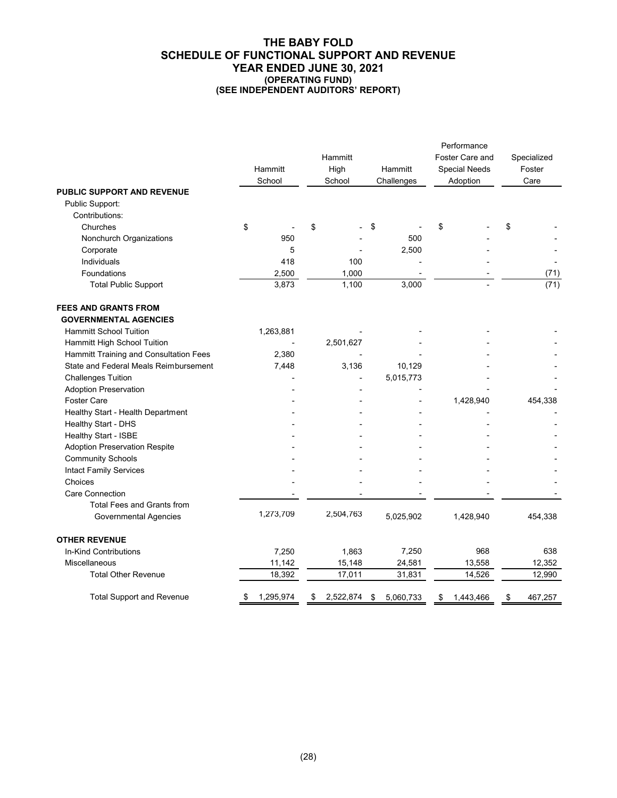#### **THE BABY FOLD SCHEDULE OF FUNCTIONAL SUPPORT AND REVENUE YEAR ENDED JUNE 30, 2021 (OPERATING FUND) (SEE INDEPENDENT AUDITORS' REPORT)**

|                                        | Hammitt         | Hammitt<br>High | Hammitt         | Performance<br>Foster Care and<br><b>Special Needs</b> | Specialized<br>Foster |
|----------------------------------------|-----------------|-----------------|-----------------|--------------------------------------------------------|-----------------------|
|                                        | School          | School          | Challenges      | Adoption                                               | Care                  |
| <b>PUBLIC SUPPORT AND REVENUE</b>      |                 |                 |                 |                                                        |                       |
| Public Support:                        |                 |                 |                 |                                                        |                       |
| Contributions:                         |                 |                 |                 |                                                        |                       |
| Churches                               | \$              | \$              | \$              | \$                                                     | \$                    |
| Nonchurch Organizations                | 950             |                 | 500             |                                                        |                       |
| Corporate                              | 5               |                 | 2,500           |                                                        |                       |
| Individuals                            | 418             | 100             |                 |                                                        |                       |
| Foundations                            | 2,500           | 1,000           |                 |                                                        | (71)                  |
| <b>Total Public Support</b>            | 3,873           | 1,100           | 3,000           |                                                        | (71)                  |
| <b>FEES AND GRANTS FROM</b>            |                 |                 |                 |                                                        |                       |
| <b>GOVERNMENTAL AGENCIES</b>           |                 |                 |                 |                                                        |                       |
| <b>Hammitt School Tuition</b>          | 1,263,881       |                 |                 |                                                        |                       |
| Hammitt High School Tuition            |                 | 2,501,627       |                 |                                                        |                       |
| Hammitt Training and Consultation Fees | 2,380           |                 |                 |                                                        |                       |
| State and Federal Meals Reimbursement  | 7,448           | 3,136           | 10,129          |                                                        |                       |
| <b>Challenges Tuition</b>              |                 | $\overline{a}$  | 5,015,773       |                                                        |                       |
| <b>Adoption Preservation</b>           |                 |                 |                 |                                                        |                       |
| <b>Foster Care</b>                     |                 |                 |                 | 1,428,940                                              | 454,338               |
| Healthy Start - Health Department      |                 |                 |                 |                                                        |                       |
| Healthy Start - DHS                    |                 |                 |                 |                                                        |                       |
| Healthy Start - ISBE                   |                 |                 |                 |                                                        |                       |
| <b>Adoption Preservation Respite</b>   |                 |                 |                 |                                                        |                       |
| <b>Community Schools</b>               |                 |                 |                 |                                                        |                       |
| <b>Intact Family Services</b>          |                 |                 |                 |                                                        |                       |
| Choices                                |                 |                 |                 |                                                        |                       |
| <b>Care Connection</b>                 |                 |                 |                 |                                                        |                       |
| <b>Total Fees and Grants from</b>      |                 |                 |                 |                                                        |                       |
| Governmental Agencies                  | 1,273,709       | 2,504,763       | 5,025,902       | 1,428,940                                              | 454,338               |
| <b>OTHER REVENUE</b>                   |                 |                 |                 |                                                        |                       |
| In-Kind Contributions                  | 7,250           | 1,863           | 7,250           | 968                                                    | 638                   |
| Miscellaneous                          | 11,142          | 15,148          | 24,581          | 13,558                                                 | 12,352                |
| <b>Total Other Revenue</b>             | 18,392          | 17,011          | 31,831          | 14,526                                                 | 12,990                |
| <b>Total Support and Revenue</b>       | 1,295,974<br>\$ | 2,522,874<br>\$ | \$<br>5,060,733 | 1,443,466<br>\$                                        | 467,257<br>\$         |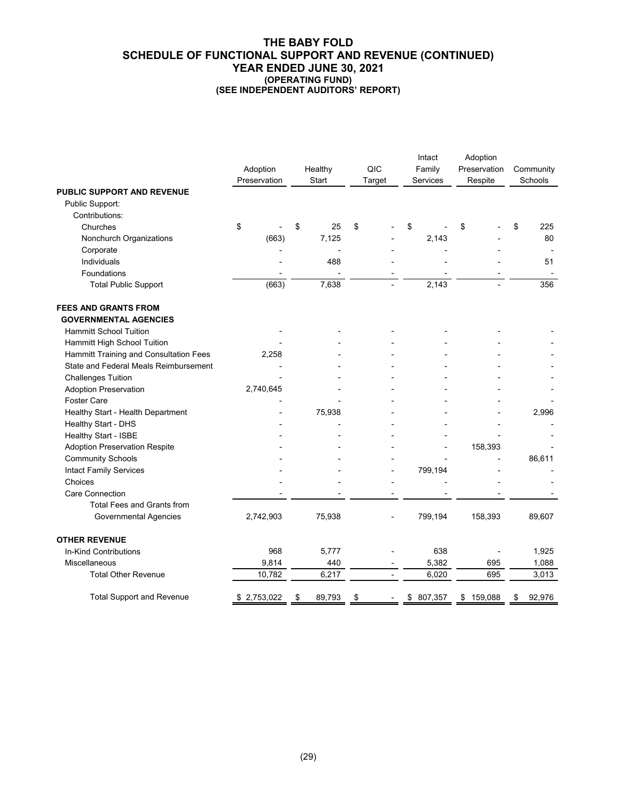#### **THE BABY FOLD SCHEDULE OF FUNCTIONAL SUPPORT AND REVENUE (CONTINUED) YEAR ENDED JUNE 30, 2021 (OPERATING FUND) (SEE INDEPENDENT AUDITORS' REPORT)**

|                                        | Adoption<br>Preservation | Healthy<br>Start | QIC<br>Target  | Intact<br>Family<br>Services | Adoption<br>Preservation<br>Respite | Community<br>Schools |
|----------------------------------------|--------------------------|------------------|----------------|------------------------------|-------------------------------------|----------------------|
| PUBLIC SUPPORT AND REVENUE             |                          |                  |                |                              |                                     |                      |
| Public Support:                        |                          |                  |                |                              |                                     |                      |
| Contributions:                         |                          |                  |                |                              |                                     |                      |
| Churches                               | \$                       | \$<br>25         | \$             | \$                           | \$                                  | \$<br>225            |
| Nonchurch Organizations                | (663)                    | 7,125            |                | 2,143                        |                                     | 80                   |
| Corporate                              |                          |                  |                |                              |                                     |                      |
| Individuals                            |                          | 488              |                |                              |                                     | 51                   |
| Foundations                            |                          |                  |                |                              |                                     |                      |
| <b>Total Public Support</b>            | (663)                    | 7,638            |                | 2,143                        |                                     | 356                  |
| <b>FEES AND GRANTS FROM</b>            |                          |                  |                |                              |                                     |                      |
| <b>GOVERNMENTAL AGENCIES</b>           |                          |                  |                |                              |                                     |                      |
| <b>Hammitt School Tuition</b>          |                          |                  |                |                              |                                     |                      |
| Hammitt High School Tuition            |                          |                  |                |                              |                                     |                      |
| Hammitt Training and Consultation Fees | 2,258                    |                  |                |                              |                                     |                      |
| State and Federal Meals Reimbursement  |                          |                  |                |                              |                                     |                      |
| <b>Challenges Tuition</b>              |                          |                  |                |                              |                                     |                      |
| <b>Adoption Preservation</b>           | 2,740,645                |                  |                |                              |                                     |                      |
| <b>Foster Care</b>                     |                          |                  |                |                              |                                     |                      |
| Healthy Start - Health Department      |                          | 75,938           |                |                              |                                     | 2,996                |
| Healthy Start - DHS                    |                          |                  |                |                              |                                     |                      |
| Healthy Start - ISBE                   |                          |                  |                |                              |                                     |                      |
| <b>Adoption Preservation Respite</b>   |                          |                  |                |                              | 158,393                             |                      |
| <b>Community Schools</b>               |                          |                  |                |                              |                                     | 86,611               |
| <b>Intact Family Services</b>          |                          |                  |                | 799,194                      |                                     |                      |
| Choices                                |                          |                  |                |                              |                                     |                      |
| <b>Care Connection</b>                 |                          |                  |                |                              |                                     |                      |
| <b>Total Fees and Grants from</b>      |                          |                  |                |                              |                                     |                      |
| Governmental Agencies                  | 2,742,903                | 75,938           | -              | 799,194                      | 158,393                             | 89,607               |
| <b>OTHER REVENUE</b>                   |                          |                  |                |                              |                                     |                      |
| In-Kind Contributions                  | 968                      | 5,777            |                | 638                          |                                     | 1,925                |
| Miscellaneous                          | 9,814                    | 440              | $\overline{a}$ | 5,382                        | 695                                 | 1,088                |
| <b>Total Other Revenue</b>             | 10,782                   | 6,217            | L,             | 6,020                        | 695                                 | 3,013                |
| <b>Total Support and Revenue</b>       | \$2,753,022              | \$<br>89,793     | \$             | 807,357<br>\$                | 159,088<br>\$                       | \$<br>92,976         |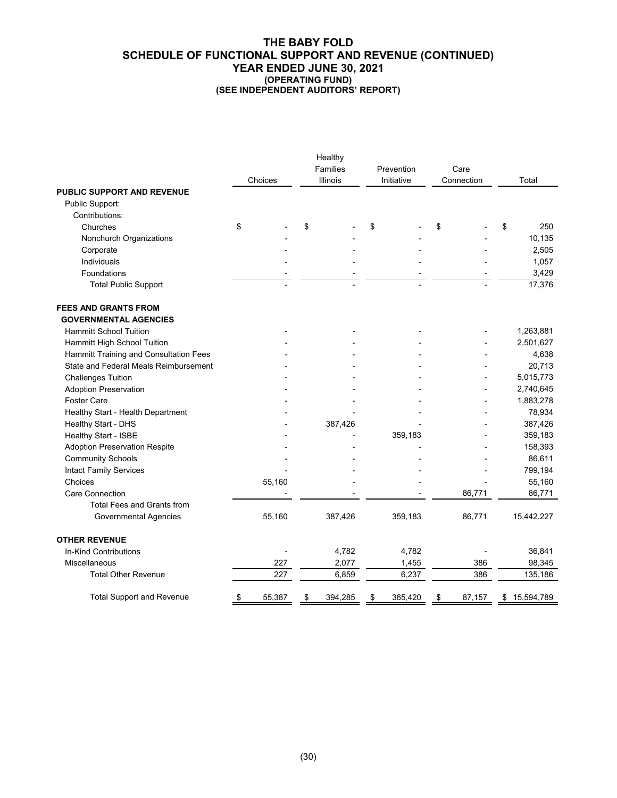#### **THE BABY FOLD SCHEDULE OF FUNCTIONAL SUPPORT AND REVENUE (CONTINUED) YEAR ENDED JUNE 30, 2021 (OPERATING FUND) (SEE INDEPENDENT AUDITORS' REPORT)**

|                                        | Choices          | Healthy<br>Families<br>Illinois | Prevention<br>Initiative | Care<br>Connection | Total            |
|----------------------------------------|------------------|---------------------------------|--------------------------|--------------------|------------------|
| <b>PUBLIC SUPPORT AND REVENUE</b>      |                  |                                 |                          |                    |                  |
| Public Support:                        |                  |                                 |                          |                    |                  |
| Contributions:                         |                  |                                 |                          |                    |                  |
| Churches                               | \$               | \$                              | \$                       | \$                 | 250<br>\$        |
| Nonchurch Organizations                |                  |                                 |                          |                    | 10,135           |
| Corporate                              |                  |                                 |                          |                    | 2,505            |
| Individuals                            |                  |                                 |                          |                    | 1,057            |
| Foundations                            |                  |                                 |                          |                    | 3,429            |
| <b>Total Public Support</b>            |                  |                                 |                          |                    | 17,376           |
| <b>FEES AND GRANTS FROM</b>            |                  |                                 |                          |                    |                  |
| <b>GOVERNMENTAL AGENCIES</b>           |                  |                                 |                          |                    |                  |
| <b>Hammitt School Tuition</b>          |                  |                                 |                          |                    | 1,263,881        |
| Hammitt High School Tuition            |                  |                                 |                          |                    | 2,501,627        |
| Hammitt Training and Consultation Fees |                  |                                 |                          |                    | 4,638            |
| State and Federal Meals Reimbursement  |                  |                                 |                          |                    | 20,713           |
| <b>Challenges Tuition</b>              |                  |                                 |                          |                    | 5,015,773        |
| <b>Adoption Preservation</b>           |                  |                                 |                          |                    | 2,740,645        |
| <b>Foster Care</b>                     |                  |                                 |                          |                    | 1,883,278        |
| Healthy Start - Health Department      |                  |                                 |                          |                    | 78,934           |
| Healthy Start - DHS                    |                  | 387,426                         |                          |                    | 387,426          |
| Healthy Start - ISBE                   |                  |                                 | 359,183                  |                    | 359,183          |
| <b>Adoption Preservation Respite</b>   |                  |                                 |                          |                    | 158,393          |
| <b>Community Schools</b>               |                  |                                 |                          |                    | 86,611           |
| <b>Intact Family Services</b>          |                  |                                 |                          |                    | 799,194          |
| Choices                                | 55,160           |                                 |                          |                    | 55,160           |
| <b>Care Connection</b>                 |                  |                                 |                          | 86,771             | 86,771           |
| <b>Total Fees and Grants from</b>      |                  |                                 |                          |                    |                  |
| <b>Governmental Agencies</b>           | 55,160           | 387,426                         | 359,183                  | 86,771             | 15,442,227       |
| <b>OTHER REVENUE</b>                   |                  |                                 |                          |                    |                  |
| In-Kind Contributions                  |                  | 4,782                           | 4,782                    |                    | 36,841           |
| Miscellaneous                          | 227              | 2,077                           | 1,455                    | 386                | 98,345           |
| <b>Total Other Revenue</b>             | $\overline{227}$ | 6,859                           | 6,237                    | 386                | 135,186          |
| <b>Total Support and Revenue</b>       | \$<br>55,387     | 394,285<br>\$                   | 365,420<br>\$            | \$<br>87,157       | 15,594,789<br>\$ |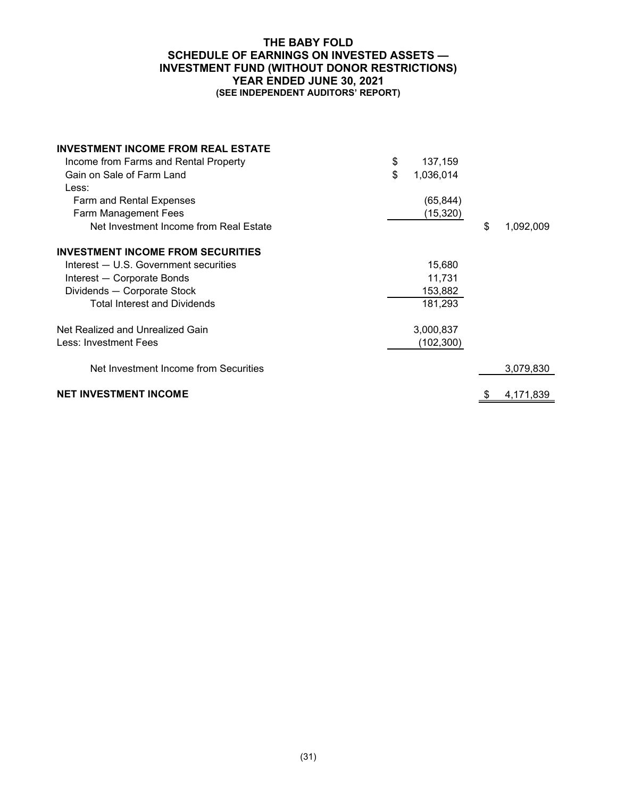### **THE BABY FOLD SCHEDULE OF EARNINGS ON INVESTED ASSETS — INVESTMENT FUND (WITHOUT DONOR RESTRICTIONS) YEAR ENDED JUNE 30, 2021 (SEE INDEPENDENT AUDITORS' REPORT)**

| <b>INVESTMENT INCOME FROM REAL ESTATE</b><br>\$<br>Income from Farms and Rental Property<br>\$<br>Gain on Sale of Farm Land<br>Less:<br>Farm and Rental Expenses | 137,159<br>1,036,014<br>(65, 844) |                 |
|------------------------------------------------------------------------------------------------------------------------------------------------------------------|-----------------------------------|-----------------|
| Farm Management Fees                                                                                                                                             | (15, 320)                         |                 |
| Net Investment Income from Real Estate                                                                                                                           |                                   | \$<br>1,092,009 |
| <b>INVESTMENT INCOME FROM SECURITIES</b>                                                                                                                         |                                   |                 |
| Interest - U.S. Government securities                                                                                                                            | 15,680                            |                 |
| Interest - Corporate Bonds                                                                                                                                       | 11,731                            |                 |
| Dividends - Corporate Stock                                                                                                                                      | 153,882                           |                 |
| <b>Total Interest and Dividends</b>                                                                                                                              | 181,293                           |                 |
| Net Realized and Unrealized Gain                                                                                                                                 | 3,000,837                         |                 |
| Less: Investment Fees                                                                                                                                            | (102, 300)                        |                 |
| Net Investment Income from Securities                                                                                                                            |                                   | 3,079,830       |
| <b>NET INVESTMENT INCOME</b>                                                                                                                                     |                                   | 4,171,839       |